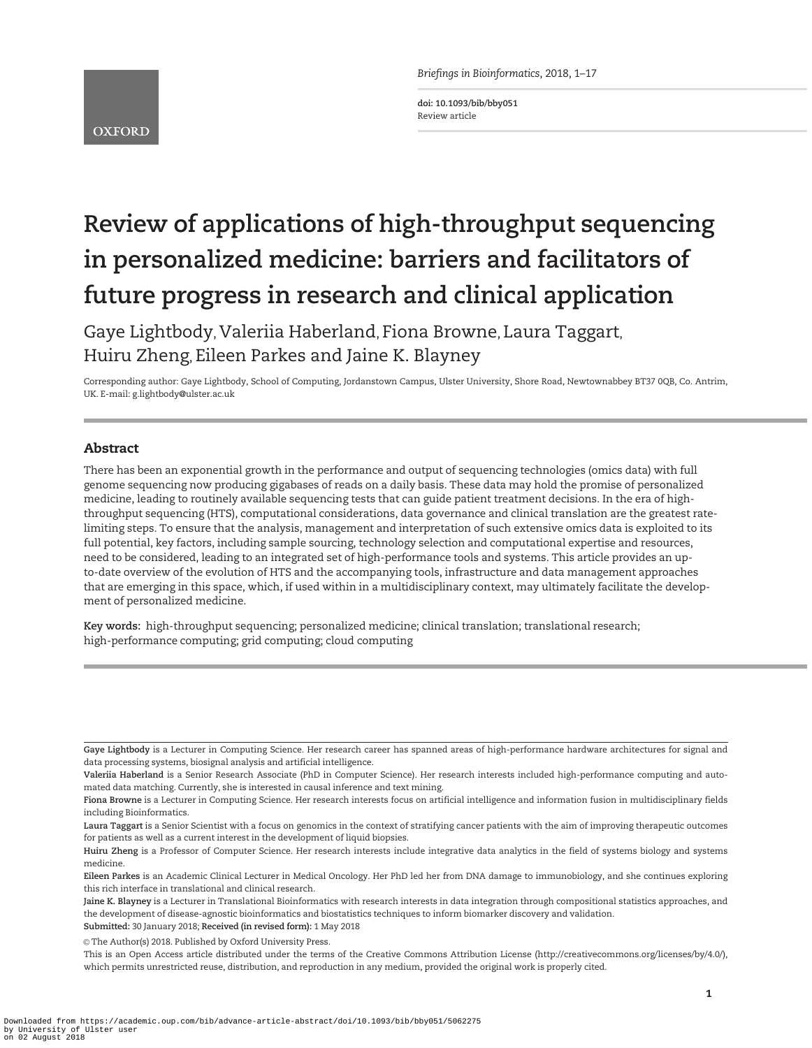**OXFORD** 

Briefings in Bioinformatics, 2018, 1–17

doi: 10.1093/bib/bby051 Review article

# Review of applications of high-throughput sequencing in personalized medicine: barriers and facilitators of future progress in research and clinical application

Gaye Lightbody, Valeriia Haberland, Fiona Browne, Laura Taggart, Huiru Zheng, Eileen Parkes and Jaine K. Blayney

Corresponding author: Gaye Lightbody, School of Computing, Jordanstown Campus, Ulster University, Shore Road, Newtownabbey BT37 0QB, Co. Antrim, UK. E-mail: g.lightbody@ulster.ac.uk

# Abstract

There has been an exponential growth in the performance and output of sequencing technologies (omics data) with full genome sequencing now producing gigabases of reads on a daily basis. These data may hold the promise of personalized medicine, leading to routinely available sequencing tests that can guide patient treatment decisions. In the era of highthroughput sequencing (HTS), computational considerations, data governance and clinical translation are the greatest ratelimiting steps. To ensure that the analysis, management and interpretation of such extensive omics data is exploited to its full potential, key factors, including sample sourcing, technology selection and computational expertise and resources, need to be considered, leading to an integrated set of high-performance tools and systems. This article provides an upto-date overview of the evolution of HTS and the accompanying tools, infrastructure and data management approaches that are emerging in this space, which, if used within in a multidisciplinary context, may ultimately facilitate the development of personalized medicine.

Key words: high-throughput sequencing; personalized medicine; clinical translation; translational research; high-performance computing; grid computing; cloud computing

Gaye Lightbody is a Lecturer in Computing Science. Her research career has spanned areas of high-performance hardware architectures for signal and data processing systems, biosignal analysis and artificial intelligence.

Valeriia Haberland is a Senior Research Associate (PhD in Computer Science). Her research interests included high-performance computing and automated data matching. Currently, she is interested in causal inference and text mining.

Fiona Browne is a Lecturer in Computing Science. Her research interests focus on artificial intelligence and information fusion in multidisciplinary fields including Bioinformatics.

Laura Taggart is a Senior Scientist with a focus on genomics in the context of stratifying cancer patients with the aim of improving therapeutic outcomes for patients as well as a current interest in the development of liquid biopsies.

Huiru Zheng is a Professor of Computer Science. Her research interests include integrative data analytics in the field of systems biology and systems medicine.

Eileen Parkes is an Academic Clinical Lecturer in Medical Oncology. Her PhD led her from DNA damage to immunobiology, and she continues exploring this rich interface in translational and clinical research.

Jaine K. Blayney is a Lecturer in Translational Bioinformatics with research interests in data integration through compositional statistics approaches, and the development of disease-agnostic bioinformatics and biostatistics techniques to inform biomarker discovery and validation. Submitted: 30 January 2018; Received (in revised form): 1 May 2018

<sup>©</sup> The Author(s) 2018. Published by Oxford University Press.

This is an Open Access article distributed under the terms of the Creative Commons Attribution License (http://creativecommons.org/licenses/by/4.0/), which permits unrestricted reuse, distribution, and reproduction in any medium, provided the original work is properly cited.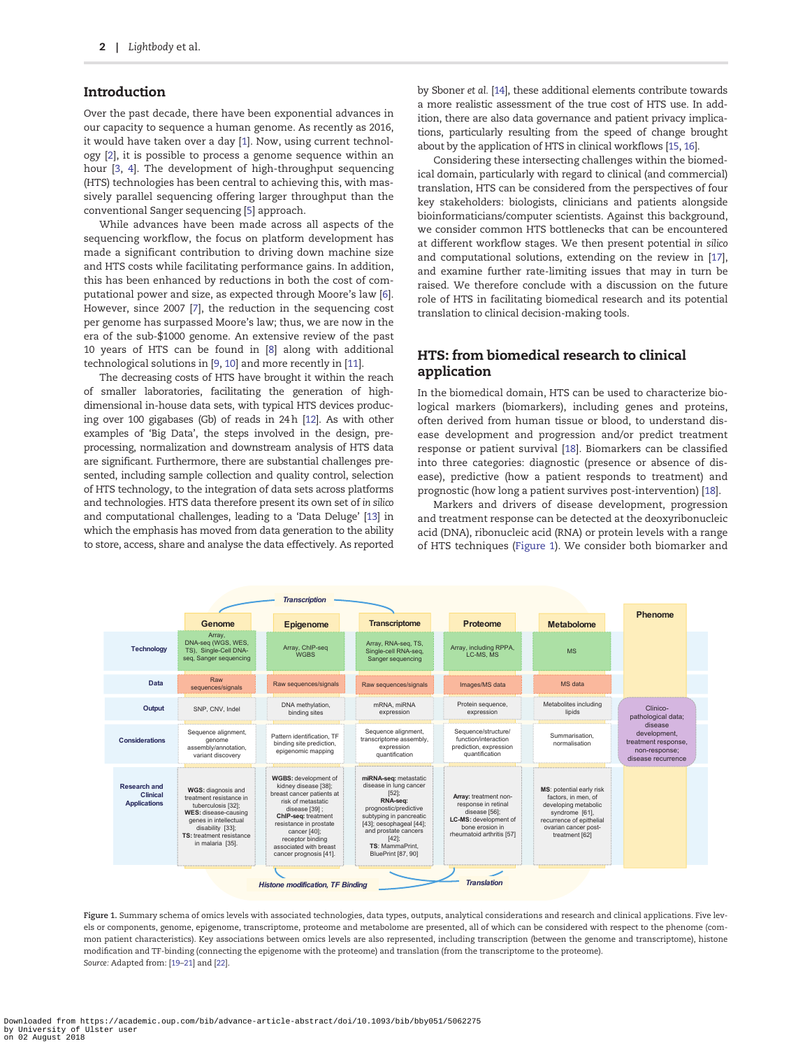## <span id="page-1-0"></span>Introduction

Over the past decade, there have been exponential advances in our capacity to sequence a human genome. As recently as 2016, it would have taken over a day [\[1](#page-10-0)]. Now, using current technology [\[2](#page-10-0)], it is possible to process a genome sequence within an hour [[3,](#page-10-0) [4\]](#page-10-0). The development of high-throughput sequencing (HTS) technologies has been central to achieving this, with massively parallel sequencing offering larger throughput than the conventional Sanger sequencing [\[5](#page-10-0)] approach.

While advances have been made across all aspects of the sequencing workflow, the focus on platform development has made a significant contribution to driving down machine size and HTS costs while facilitating performance gains. In addition, this has been enhanced by reductions in both the cost of computational power and size, as expected through Moore's law [[6\]](#page-10-0). However, since 2007 [\[7\]](#page-10-0), the reduction in the sequencing cost per genome has surpassed Moore's law; thus, we are now in the era of the sub-\$1000 genome. An extensive review of the past 10 years of HTS can be found in [[8\]](#page-10-0) along with additional technological solutions in [\[9,](#page-10-0) [10\]](#page-10-0) and more recently in [\[11](#page-10-0)].

The decreasing costs of HTS have brought it within the reach of smaller laboratories, facilitating the generation of highdimensional in-house data sets, with typical HTS devices producing over 100 gigabases (Gb) of reads in 24 h [\[12](#page-10-0)]. As with other examples of 'Big Data', the steps involved in the design, preprocessing, normalization and downstream analysis of HTS data are significant. Furthermore, there are substantial challenges presented, including sample collection and quality control, selection of HTS technology, to the integration of data sets across platforms and technologies. HTS data therefore present its own set of in silico and computational challenges, leading to a 'Data Deluge' [[13\]](#page-10-0) in which the emphasis has moved from data generation to the ability to store, access, share and analyse the data effectively. As reported

by Sboner et al. [[14\]](#page-10-0), these additional elements contribute towards a more realistic assessment of the true cost of HTS use. In addition, there are also data governance and patient privacy implications, particularly resulting from the speed of change brought about by the application of HTS in clinical workflows [\[15](#page-10-0), [16\]](#page-10-0).

Considering these intersecting challenges within the biomedical domain, particularly with regard to clinical (and commercial) translation, HTS can be considered from the perspectives of four key stakeholders: biologists, clinicians and patients alongside bioinformaticians/computer scientists. Against this background, we consider common HTS bottlenecks that can be encountered at different workflow stages. We then present potential in silico and computational solutions, extending on the review in [[17\]](#page-10-0), and examine further rate-limiting issues that may in turn be raised. We therefore conclude with a discussion on the future role of HTS in facilitating biomedical research and its potential translation to clinical decision-making tools.

# HTS: from biomedical research to clinical application

In the biomedical domain, HTS can be used to characterize biological markers (biomarkers), including genes and proteins, often derived from human tissue or blood, to understand disease development and progression and/or predict treatment response or patient survival [\[18](#page-10-0)]. Biomarkers can be classified into three categories: diagnostic (presence or absence of disease), predictive (how a patient responds to treatment) and prognostic (how long a patient survives post-intervention) [[18\]](#page-10-0).

Markers and drivers of disease development, progression and treatment response can be detected at the deoxyribonucleic acid (DNA), ribonucleic acid (RNA) or protein levels with a range of HTS techniques (Figure 1). We consider both biomarker and



Figure 1. Summary schema of omics levels with associated technologies, data types, outputs, analytical considerations and research and clinical applications. Five levels or components, genome, epigenome, transcriptome, proteome and metabolome are presented, all of which can be considered with respect to the phenome (common patient characteristics). Key associations between omics levels are also represented, including transcription (between the genome and transcriptome), histone modification and TF-binding (connecting the epigenome with the proteome) and translation (from the transcriptome to the proteome). Source: Adapted from: [\[19–21](#page-10-0)] and [\[22\]](#page-10-0).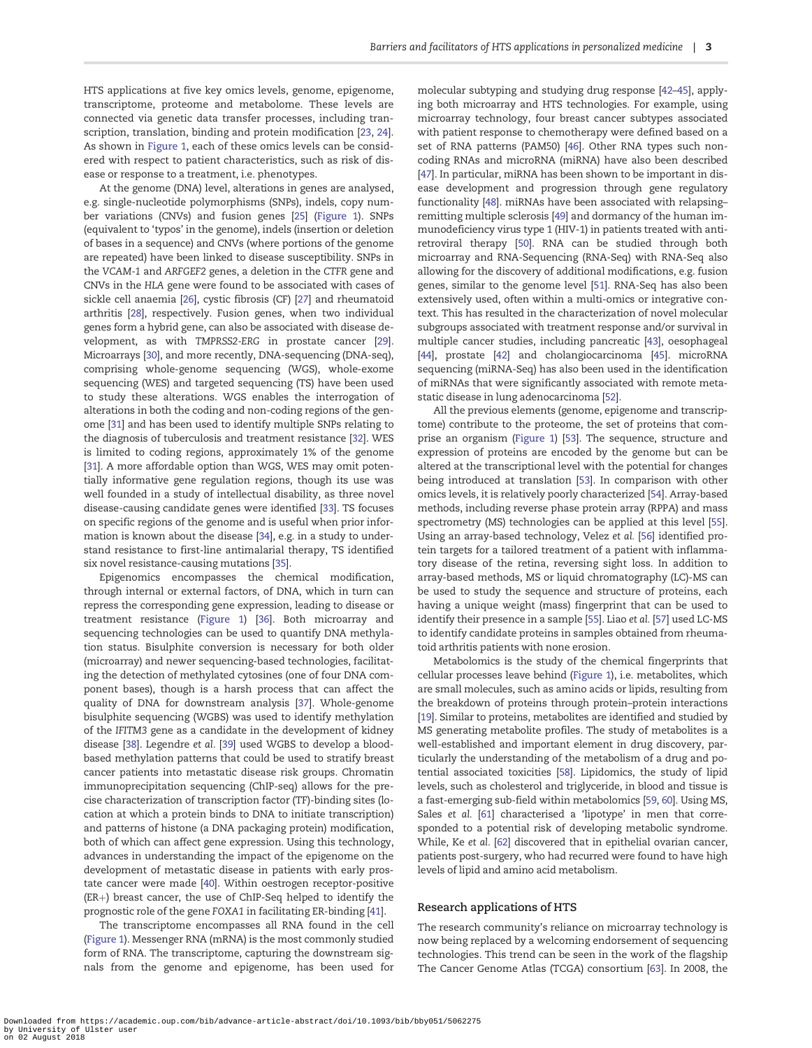<span id="page-2-0"></span>HTS applications at five key omics levels, genome, epigenome, transcriptome, proteome and metabolome. These levels are connected via genetic data transfer processes, including transcription, translation, binding and protein modification [[23](#page-10-0), [24\]](#page-10-0). As shown in [Figure 1,](#page-1-0) each of these omics levels can be considered with respect to patient characteristics, such as risk of disease or response to a treatment, i.e. phenotypes.

At the genome (DNA) level, alterations in genes are analysed, e.g. single-nucleotide polymorphisms (SNPs), indels, copy number variations (CNVs) and fusion genes [\[25](#page-10-0)] [\(Figure 1](#page-1-0)). SNPs (equivalent to 'typos' in the genome), indels (insertion or deletion of bases in a sequence) and CNVs (where portions of the genome are repeated) have been linked to disease susceptibility. SNPs in the VCAM-1 and ARFGEF2 genes, a deletion in the CTFR gene and CNVs in the HLA gene were found to be associated with cases of sickle cell anaemia [\[26](#page-10-0)], cystic fibrosis (CF) [[27\]](#page-10-0) and rheumatoid arthritis [\[28\]](#page-10-0), respectively. Fusion genes, when two individual genes form a hybrid gene, can also be associated with disease development, as with TMPRSS2-ERG in prostate cancer [[29\]](#page-10-0). Microarrays [\[30](#page-10-0)], and more recently, DNA-sequencing (DNA-seq), comprising whole-genome sequencing (WGS), whole-exome sequencing (WES) and targeted sequencing (TS) have been used to study these alterations. WGS enables the interrogation of alterations in both the coding and non-coding regions of the genome [[31\]](#page-11-0) and has been used to identify multiple SNPs relating to the diagnosis of tuberculosis and treatment resistance [[32\]](#page-11-0). WES is limited to coding regions, approximately 1% of the genome [\[31\]](#page-11-0). A more affordable option than WGS, WES may omit potentially informative gene regulation regions, though its use was well founded in a study of intellectual disability, as three novel disease-causing candidate genes were identified [[33\]](#page-11-0). TS focuses on specific regions of the genome and is useful when prior information is known about the disease [\[34\]](#page-11-0), e.g. in a study to understand resistance to first-line antimalarial therapy, TS identified six novel resistance-causing mutations [[35\]](#page-11-0).

Epigenomics encompasses the chemical modification, through internal or external factors, of DNA, which in turn can repress the corresponding gene expression, leading to disease or treatment resistance [\(Figure 1](#page-1-0)) [\[36](#page-11-0)]. Both microarray and sequencing technologies can be used to quantify DNA methylation status. Bisulphite conversion is necessary for both older (microarray) and newer sequencing-based technologies, facilitating the detection of methylated cytosines (one of four DNA component bases), though is a harsh process that can affect the quality of DNA for downstream analysis [\[37](#page-11-0)]. Whole-genome bisulphite sequencing (WGBS) was used to identify methylation of the IFITM3 gene as a candidate in the development of kidney disease [[38](#page-11-0)]. Legendre et al. [[39\]](#page-11-0) used WGBS to develop a bloodbased methylation patterns that could be used to stratify breast cancer patients into metastatic disease risk groups. Chromatin immunoprecipitation sequencing (ChIP-seq) allows for the precise characterization of transcription factor (TF)-binding sites (location at which a protein binds to DNA to initiate transcription) and patterns of histone (a DNA packaging protein) modification, both of which can affect gene expression. Using this technology, advances in understanding the impact of the epigenome on the development of metastatic disease in patients with early prostate cancer were made [[40\]](#page-11-0). Within oestrogen receptor-positive  $(ER+)$  breast cancer, the use of ChIP-Seq helped to identify the prognostic role of the gene FOXA1 in facilitating ER-binding [\[41](#page-11-0)].

The transcriptome encompasses all RNA found in the cell [\(Figure 1\)](#page-1-0). Messenger RNA (mRNA) is the most commonly studied form of RNA. The transcriptome, capturing the downstream signals from the genome and epigenome, has been used for molecular subtyping and studying drug response [\[42–45](#page-11-0)], applying both microarray and HTS technologies. For example, using microarray technology, four breast cancer subtypes associated with patient response to chemotherapy were defined based on a set of RNA patterns (PAM50) [\[46\]](#page-11-0). Other RNA types such noncoding RNAs and microRNA (miRNA) have also been described [\[47\]](#page-11-0). In particular, miRNA has been shown to be important in disease development and progression through gene regulatory functionality [\[48](#page-11-0)]. miRNAs have been associated with relapsing– remitting multiple sclerosis [[49\]](#page-11-0) and dormancy of the human immunodeficiency virus type 1 (HIV-1) in patients treated with antiretroviral therapy [[50](#page-11-0)]. RNA can be studied through both microarray and RNA-Sequencing (RNA-Seq) with RNA-Seq also allowing for the discovery of additional modifications, e.g. fusion genes, similar to the genome level [\[51](#page-11-0)]. RNA-Seq has also been extensively used, often within a multi-omics or integrative context. This has resulted in the characterization of novel molecular subgroups associated with treatment response and/or survival in multiple cancer studies, including pancreatic [\[43](#page-11-0)], oesophageal [\[44\]](#page-11-0), prostate [\[42\]](#page-11-0) and cholangiocarcinoma [\[45](#page-11-0)]. microRNA sequencing (miRNA-Seq) has also been used in the identification of miRNAs that were significantly associated with remote metastatic disease in lung adenocarcinoma [\[52\]](#page-11-0).

All the previous elements (genome, epigenome and transcriptome) contribute to the proteome, the set of proteins that comprise an organism ([Figure 1\)](#page-1-0) [\[53\]](#page-11-0). The sequence, structure and expression of proteins are encoded by the genome but can be altered at the transcriptional level with the potential for changes being introduced at translation [\[53](#page-11-0)]. In comparison with other omics levels, it is relatively poorly characterized [[54](#page-11-0)]. Array-based methods, including reverse phase protein array (RPPA) and mass spectrometry (MS) technologies can be applied at this level [[55\]](#page-11-0). Using an array-based technology, Velez et al. [[56\]](#page-11-0) identified protein targets for a tailored treatment of a patient with inflammatory disease of the retina, reversing sight loss. In addition to array-based methods, MS or liquid chromatography (LC)-MS can be used to study the sequence and structure of proteins, each having a unique weight (mass) fingerprint that can be used to identify their presence in a sample [[55\]](#page-11-0). Liao et al. [[57\]](#page-11-0) used LC-MS to identify candidate proteins in samples obtained from rheumatoid arthritis patients with none erosion.

Metabolomics is the study of the chemical fingerprints that cellular processes leave behind [\(Figure 1](#page-1-0)), i.e. metabolites, which are small molecules, such as amino acids or lipids, resulting from the breakdown of proteins through protein–protein interactions [\[19](#page-10-0)]. Similar to proteins, metabolites are identified and studied by MS generating metabolite profiles. The study of metabolites is a well-established and important element in drug discovery, particularly the understanding of the metabolism of a drug and potential associated toxicities [\[58](#page-11-0)]. Lipidomics, the study of lipid levels, such as cholesterol and triglyceride, in blood and tissue is a fast-emerging sub-field within metabolomics [\[59](#page-11-0), [60](#page-11-0)]. Using MS, Sales et al. [[61\]](#page-11-0) characterised a 'lipotype' in men that corresponded to a potential risk of developing metabolic syndrome. While, Ke et al. [\[62](#page-11-0)] discovered that in epithelial ovarian cancer, patients post-surgery, who had recurred were found to have high levels of lipid and amino acid metabolism.

#### Research applications of HTS

The research community's reliance on microarray technology is now being replaced by a welcoming endorsement of sequencing technologies. This trend can be seen in the work of the flagship The Cancer Genome Atlas (TCGA) consortium [\[63\]](#page-11-0). In 2008, the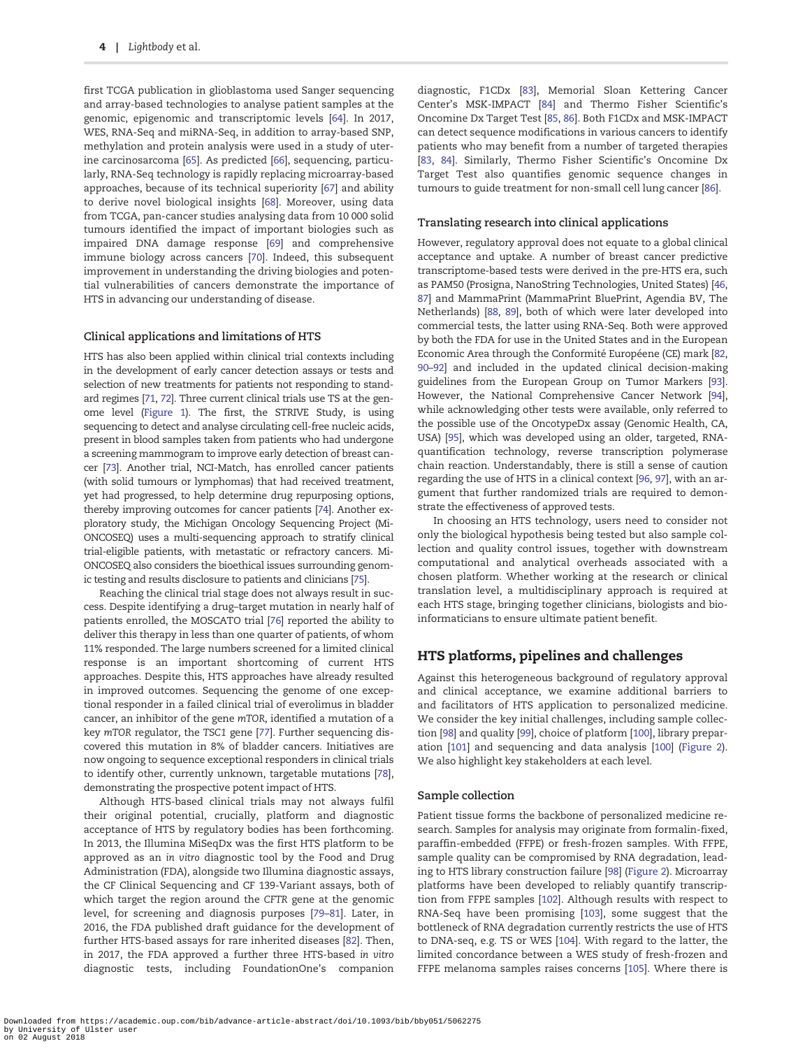<span id="page-3-0"></span>first TCGA publication in glioblastoma used Sanger sequencing and array-based technologies to analyse patient samples at the genomic, epigenomic and transcriptomic levels [\[64\]](#page-11-0). In 2017, WES, RNA-Seq and miRNA-Seq, in addition to array-based SNP, methylation and protein analysis were used in a study of uterine carcinosarcoma [\[65](#page-11-0)]. As predicted [\[66\]](#page-11-0), sequencing, particularly, RNA-Seq technology is rapidly replacing microarray-based approaches, because of its technical superiority [\[67\]](#page-11-0) and ability to derive novel biological insights [[68](#page-11-0)]. Moreover, using data from TCGA, pan-cancer studies analysing data from 10 000 solid tumours identified the impact of important biologies such as impaired DNA damage response [\[69\]](#page-11-0) and comprehensive immune biology across cancers [[70\]](#page-11-0). Indeed, this subsequent improvement in understanding the driving biologies and potential vulnerabilities of cancers demonstrate the importance of HTS in advancing our understanding of disease.

## Clinical applications and limitations of HTS

HTS has also been applied within clinical trial contexts including in the development of early cancer detection assays or tests and selection of new treatments for patients not responding to standard regimes [\[71](#page-11-0), [72](#page-11-0)]. Three current clinical trials use TS at the genome level ([Figure 1\)](#page-1-0). The first, the STRIVE Study, is using sequencing to detect and analyse circulating cell-free nucleic acids, present in blood samples taken from patients who had undergone a screening mammogram to improve early detection of breast cancer [[73\]](#page-11-0). Another trial, NCI-Match, has enrolled cancer patients (with solid tumours or lymphomas) that had received treatment, yet had progressed, to help determine drug repurposing options, thereby improving outcomes for cancer patients [\[74\]](#page-12-0). Another exploratory study, the Michigan Oncology Sequencing Project (Mi-ONCOSEQ) uses a multi-sequencing approach to stratify clinical trial-eligible patients, with metastatic or refractory cancers. Mi-ONCOSEQ also considers the bioethical issues surrounding genomic testing and results disclosure to patients and clinicians [\[75\]](#page-12-0).

Reaching the clinical trial stage does not always result in success. Despite identifying a drug–target mutation in nearly half of patients enrolled, the MOSCATO trial [[76](#page-12-0)] reported the ability to deliver this therapy in less than one quarter of patients, of whom 11% responded. The large numbers screened for a limited clinical response is an important shortcoming of current HTS approaches. Despite this, HTS approaches have already resulted in improved outcomes. Sequencing the genome of one exceptional responder in a failed clinical trial of everolimus in bladder cancer, an inhibitor of the gene mTOR, identified a mutation of a key mTOR regulator, the TSC1 gene [\[77\]](#page-12-0). Further sequencing discovered this mutation in 8% of bladder cancers. Initiatives are now ongoing to sequence exceptional responders in clinical trials to identify other, currently unknown, targetable mutations [[78\]](#page-12-0), demonstrating the prospective potent impact of HTS.

Although HTS-based clinical trials may not always fulfil their original potential, crucially, platform and diagnostic acceptance of HTS by regulatory bodies has been forthcoming. In 2013, the Illumina MiSeqDx was the first HTS platform to be approved as an in vitro diagnostic tool by the Food and Drug Administration (FDA), alongside two Illumina diagnostic assays, the CF Clinical Sequencing and CF 139-Variant assays, both of which target the region around the CFTR gene at the genomic level, for screening and diagnosis purposes [[79–81\]](#page-12-0). Later, in 2016, the FDA published draft guidance for the development of further HTS-based assays for rare inherited diseases [[82](#page-12-0)]. Then, in 2017, the FDA approved a further three HTS-based in vitro diagnostic tests, including FoundationOne's companion diagnostic, F1CDx [\[83\]](#page-12-0), Memorial Sloan Kettering Cancer Center's MSK-IMPACT [[84](#page-12-0)] and Thermo Fisher Scientific's Oncomine Dx Target Test [[85](#page-12-0), [86](#page-12-0)]. Both F1CDx and MSK-IMPACT can detect sequence modifications in various cancers to identify patients who may benefit from a number of targeted therapies [\[83,](#page-12-0) [84](#page-12-0)]. Similarly, Thermo Fisher Scientific's Oncomine Dx Target Test also quantifies genomic sequence changes in tumours to guide treatment for non-small cell lung cancer [[86\]](#page-12-0).

### Translating research into clinical applications

However, regulatory approval does not equate to a global clinical acceptance and uptake. A number of breast cancer predictive transcriptome-based tests were derived in the pre-HTS era, such as PAM50 (Prosigna, NanoString Technologies, United States) [\[46](#page-11-0), [87](#page-12-0)] and MammaPrint (MammaPrint BluePrint, Agendia BV, The Netherlands) [[88,](#page-12-0) [89](#page-12-0)], both of which were later developed into commercial tests, the latter using RNA-Seq. Both were approved by both the FDA for use in the United States and in the European Economic Area through the Conformité Européene (CE) mark [\[82](#page-12-0), [90–92](#page-12-0)] and included in the updated clinical decision-making guidelines from the European Group on Tumor Markers [[93\]](#page-12-0). However, the National Comprehensive Cancer Network [[94\]](#page-12-0), while acknowledging other tests were available, only referred to the possible use of the OncotypeDx assay (Genomic Health, CA, USA) [\[95](#page-12-0)], which was developed using an older, targeted, RNAquantification technology, reverse transcription polymerase chain reaction. Understandably, there is still a sense of caution regarding the use of HTS in a clinical context [\[96](#page-12-0), [97](#page-12-0)], with an argument that further randomized trials are required to demonstrate the effectiveness of approved tests.

In choosing an HTS technology, users need to consider not only the biological hypothesis being tested but also sample collection and quality control issues, together with downstream computational and analytical overheads associated with a chosen platform. Whether working at the research or clinical translation level, a multidisciplinary approach is required at each HTS stage, bringing together clinicians, biologists and bioinformaticians to ensure ultimate patient benefit.

## HTS platforms, pipelines and challenges

Against this heterogeneous background of regulatory approval and clinical acceptance, we examine additional barriers to and facilitators of HTS application to personalized medicine. We consider the key initial challenges, including sample collection [\[98](#page-12-0)] and quality [\[99\]](#page-12-0), choice of platform [[100\]](#page-12-0), library preparation [[101](#page-12-0)] and sequencing and data analysis [[100](#page-12-0)] [\(Figure 2\)](#page-4-0). We also highlight key stakeholders at each level.

#### Sample collection

Patient tissue forms the backbone of personalized medicine research. Samples for analysis may originate from formalin-fixed, paraffin-embedded (FFPE) or fresh-frozen samples. With FFPE, sample quality can be compromised by RNA degradation, leading to HTS library construction failure [[98\]](#page-12-0) ([Figure 2\)](#page-4-0). Microarray platforms have been developed to reliably quantify transcription from FFPE samples [[102](#page-12-0)]. Although results with respect to RNA-Seq have been promising [\[103\]](#page-12-0), some suggest that the bottleneck of RNA degradation currently restricts the use of HTS to DNA-seq, e.g. TS or WES [[104\]](#page-12-0). With regard to the latter, the limited concordance between a WES study of fresh-frozen and FFPE melanoma samples raises concerns [[105](#page-12-0)]. Where there is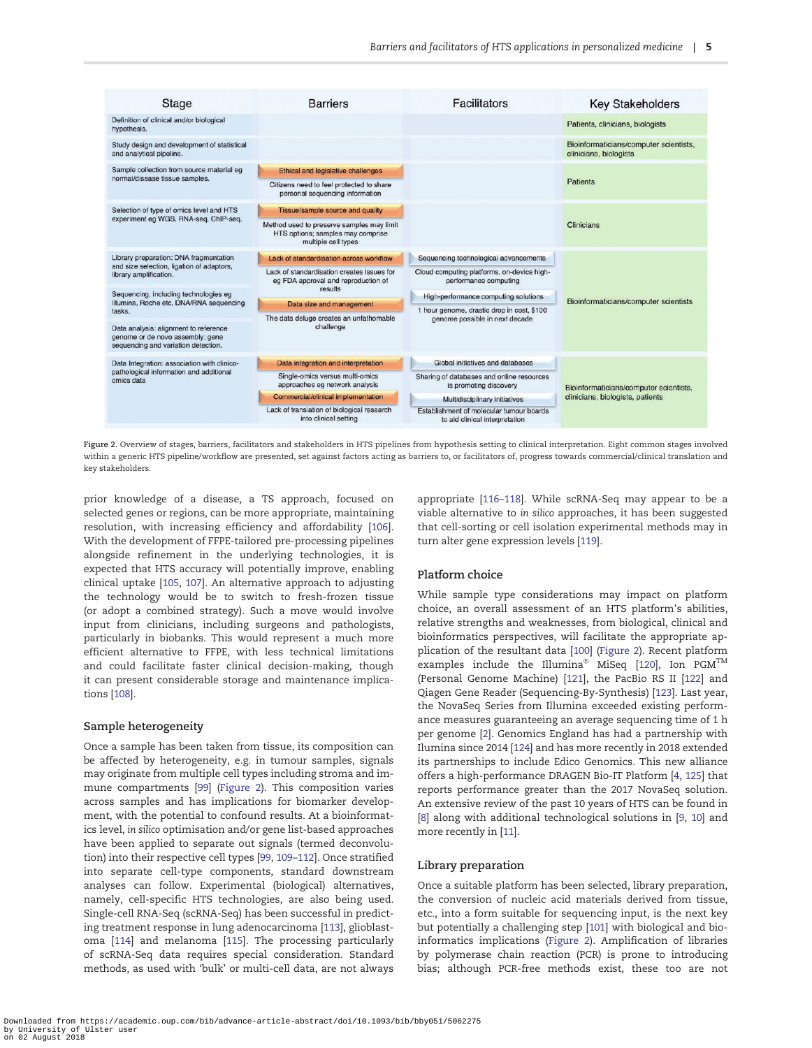<span id="page-4-0"></span>

Figure 2. Overview of stages, barriers, facilitators and stakeholders in HTS pipelines from hypothesis setting to clinical interpretation. Eight common stages involved within a generic HTS pipeline/workflow are presented, set against factors acting as barriers to, or facilitators of, progress towards commercial/clinical translation and key stakeholders.

prior knowledge of a disease, a TS approach, focused on selected genes or regions, can be more appropriate, maintaining resolution, with increasing efficiency and affordability [\[106\]](#page-12-0). With the development of FFPE-tailored pre-processing pipelines alongside refinement in the underlying technologies, it is expected that HTS accuracy will potentially improve, enabling clinical uptake [[105](#page-12-0), [107](#page-12-0)]. An alternative approach to adjusting the technology would be to switch to fresh-frozen tissue (or adopt a combined strategy). Such a move would involve input from clinicians, including surgeons and pathologists, particularly in biobanks. This would represent a much more efficient alternative to FFPE, with less technical limitations and could facilitate faster clinical decision-making, though it can present considerable storage and maintenance implications [[108](#page-12-0)].

#### Sample heterogeneity

Once a sample has been taken from tissue, its composition can be affected by heterogeneity, e.g. in tumour samples, signals may originate from multiple cell types including stroma and immune compartments [\[99](#page-12-0)] (Figure 2). This composition varies across samples and has implications for biomarker development, with the potential to confound results. At a bioinformatics level, in silico optimisation and/or gene list-based approaches have been applied to separate out signals (termed deconvolution) into their respective cell types [\[99](#page-12-0), [109–](#page-12-0)[112](#page-13-0)]. Once stratified into separate cell-type components, standard downstream analyses can follow. Experimental (biological) alternatives, namely, cell-specific HTS technologies, are also being used. Single-cell RNA-Seq (scRNA-Seq) has been successful in predicting treatment response in lung adenocarcinoma [\[113\]](#page-13-0), glioblastoma [\[114\]](#page-13-0) and melanoma [[115](#page-13-0)]. The processing particularly of scRNA-Seq data requires special consideration. Standard methods, as used with 'bulk' or multi-cell data, are not always

appropriate [\[116–118\]](#page-13-0). While scRNA-Seq may appear to be a viable alternative to in silico approaches, it has been suggested that cell-sorting or cell isolation experimental methods may in turn alter gene expression levels [[119](#page-13-0)].

## Platform choice

While sample type considerations may impact on platform choice, an overall assessment of an HTS platform's abilities, relative strengths and weaknesses, from biological, clinical and bioinformatics perspectives, will facilitate the appropriate application of the resultant data [[100\]](#page-12-0) (Figure 2). Recent platform examples include the Illumina® MiSeq [[120](#page-13-0)], Ion  $PGM^{TM}$ (Personal Genome Machine) [[121\]](#page-13-0), the PacBio RS II [\[122\]](#page-13-0) and Qiagen Gene Reader (Sequencing-By-Synthesis) [[123\]](#page-13-0). Last year, the NovaSeq Series from Illumina exceeded existing performance measures guaranteeing an average sequencing time of 1 h per genome [\[2](#page-10-0)]. Genomics England has had a partnership with Ilumina since 2014 [\[124\]](#page-13-0) and has more recently in 2018 extended its partnerships to include Edico Genomics. This new alliance offers a high-performance DRAGEN Bio-IT Platform [\[4,](#page-10-0) [125](#page-13-0)] that reports performance greater than the 2017 NovaSeq solution. An extensive review of the past 10 years of HTS can be found in [\[8\]](#page-10-0) along with additional technological solutions in [\[9](#page-10-0), [10\]](#page-10-0) and more recently in [[11\]](#page-10-0).

#### Library preparation

Once a suitable platform has been selected, library preparation, the conversion of nucleic acid materials derived from tissue, etc., into a form suitable for sequencing input, is the next key but potentially a challenging step [\[101\]](#page-12-0) with biological and bioinformatics implications (Figure 2). Amplification of libraries by polymerase chain reaction (PCR) is prone to introducing bias; although PCR-free methods exist, these too are not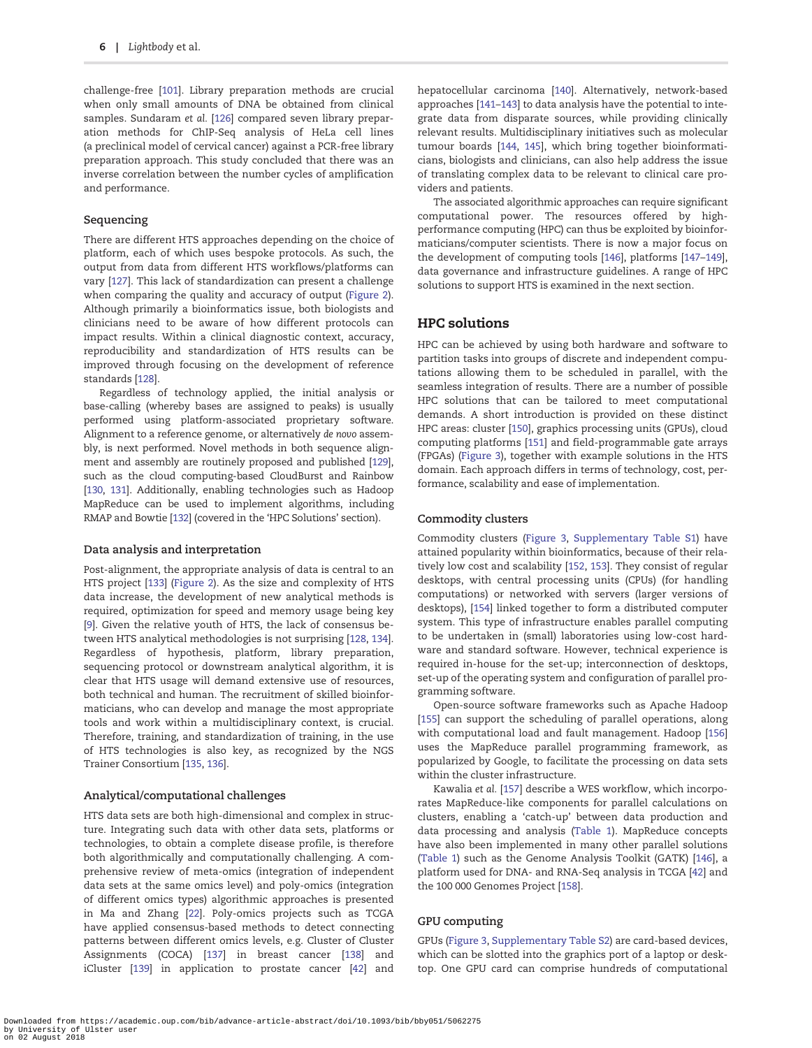<span id="page-5-0"></span>challenge-free [\[101\]](#page-12-0). Library preparation methods are crucial when only small amounts of DNA be obtained from clinical samples. Sundaram et al. [[126](#page-13-0)] compared seven library preparation methods for ChIP-Seq analysis of HeLa cell lines (a preclinical model of cervical cancer) against a PCR-free library preparation approach. This study concluded that there was an inverse correlation between the number cycles of amplification and performance.

## Sequencing

There are different HTS approaches depending on the choice of platform, each of which uses bespoke protocols. As such, the output from data from different HTS workflows/platforms can vary [[127](#page-13-0)]. This lack of standardization can present a challenge when comparing the quality and accuracy of output [\(Figure 2\)](#page-4-0). Although primarily a bioinformatics issue, both biologists and clinicians need to be aware of how different protocols can impact results. Within a clinical diagnostic context, accuracy, reproducibility and standardization of HTS results can be improved through focusing on the development of reference standards [[128](#page-13-0)].

Regardless of technology applied, the initial analysis or base-calling (whereby bases are assigned to peaks) is usually performed using platform-associated proprietary software. Alignment to a reference genome, or alternatively de novo assembly, is next performed. Novel methods in both sequence alignment and assembly are routinely proposed and published [[129\]](#page-13-0), such as the cloud computing-based CloudBurst and Rainbow [\[130](#page-13-0), [131](#page-13-0)]. Additionally, enabling technologies such as Hadoop MapReduce can be used to implement algorithms, including RMAP and Bowtie [\[132](#page-13-0)] (covered in the 'HPC Solutions' section).

#### Data analysis and interpretation

Post-alignment, the appropriate analysis of data is central to an HTS project [[133\]](#page-13-0) [\(Figure 2](#page-4-0)). As the size and complexity of HTS data increase, the development of new analytical methods is required, optimization for speed and memory usage being key [\[9\]](#page-10-0). Given the relative youth of HTS, the lack of consensus between HTS analytical methodologies is not surprising [[128](#page-13-0), [134\]](#page-13-0). Regardless of hypothesis, platform, library preparation, sequencing protocol or downstream analytical algorithm, it is clear that HTS usage will demand extensive use of resources, both technical and human. The recruitment of skilled bioinformaticians, who can develop and manage the most appropriate tools and work within a multidisciplinary context, is crucial. Therefore, training, and standardization of training, in the use of HTS technologies is also key, as recognized by the NGS Trainer Consortium [[135](#page-13-0), [136\]](#page-13-0).

#### Analytical/computational challenges

HTS data sets are both high-dimensional and complex in structure. Integrating such data with other data sets, platforms or technologies, to obtain a complete disease profile, is therefore both algorithmically and computationally challenging. A comprehensive review of meta-omics (integration of independent data sets at the same omics level) and poly-omics (integration of different omics types) algorithmic approaches is presented in Ma and Zhang [\[22\]](#page-10-0). Poly-omics projects such as TCGA have applied consensus-based methods to detect connecting patterns between different omics levels, e.g. Cluster of Cluster Assignments (COCA) [[137](#page-13-0)] in breast cancer [\[138\]](#page-13-0) and iCluster [\[139\]](#page-13-0) in application to prostate cancer [\[42](#page-11-0)] and hepatocellular carcinoma [\[140\]](#page-13-0). Alternatively, network-based approaches [[141](#page-13-0)–[143](#page-13-0)] to data analysis have the potential to integrate data from disparate sources, while providing clinically relevant results. Multidisciplinary initiatives such as molecular tumour boards [\[144,](#page-13-0) [145](#page-13-0)], which bring together bioinformaticians, biologists and clinicians, can also help address the issue of translating complex data to be relevant to clinical care providers and patients.

The associated algorithmic approaches can require significant computational power. The resources offered by highperformance computing (HPC) can thus be exploited by bioinformaticians/computer scientists. There is now a major focus on the development of computing tools [[146](#page-13-0)], platforms [\[147–149\]](#page-13-0), data governance and infrastructure guidelines. A range of HPC solutions to support HTS is examined in the next section.

## HPC solutions

HPC can be achieved by using both hardware and software to partition tasks into groups of discrete and independent computations allowing them to be scheduled in parallel, with the seamless integration of results. There are a number of possible HPC solutions that can be tailored to meet computational demands. A short introduction is provided on these distinct HPC areas: cluster [[150](#page-14-0)], graphics processing units (GPUs), cloud computing platforms [\[151\]](#page-14-0) and field-programmable gate arrays (FPGAs) [\(Figure 3\)](#page-6-0), together with example solutions in the HTS domain. Each approach differs in terms of technology, cost, performance, scalability and ease of implementation.

### Commodity clusters

Commodity clusters ([Figure 3](#page-6-0), [Supplementary Table S1](https://academic.oup.com/bib/article-lookup/doi/10.1093/bib/bby051#supplementary-data)) have attained popularity within bioinformatics, because of their relatively low cost and scalability [[152](#page-14-0), [153\]](#page-14-0). They consist of regular desktops, with central processing units (CPUs) (for handling computations) or networked with servers (larger versions of desktops), [\[154\]](#page-14-0) linked together to form a distributed computer system. This type of infrastructure enables parallel computing to be undertaken in (small) laboratories using low-cost hardware and standard software. However, technical experience is required in-house for the set-up; interconnection of desktops, set-up of the operating system and configuration of parallel programming software.

Open-source software frameworks such as Apache Hadoop [\[155\]](#page-14-0) can support the scheduling of parallel operations, along with computational load and fault management. Hadoop [\[156\]](#page-14-0) uses the MapReduce parallel programming framework, as popularized by Google, to facilitate the processing on data sets within the cluster infrastructure.

Kawalia et al. [[157](#page-14-0)] describe a WES workflow, which incorporates MapReduce-like components for parallel calculations on clusters, enabling a 'catch-up' between data production and data processing and analysis [\(Table 1\)](#page-7-0). MapReduce concepts have also been implemented in many other parallel solutions [\(Table 1\)](#page-7-0) such as the Genome Analysis Toolkit (GATK) [[146](#page-13-0)], a platform used for DNA- and RNA-Seq analysis in TCGA [\[42\]](#page-11-0) and the 100 000 Genomes Project [\[158\]](#page-14-0).

### GPU computing

GPUs [\(Figure 3](#page-6-0), [Supplementary Table S2](https://academic.oup.com/bib/article-lookup/doi/10.1093/bib/bby051#supplementary-data)) are card-based devices, which can be slotted into the graphics port of a laptop or desktop. One GPU card can comprise hundreds of computational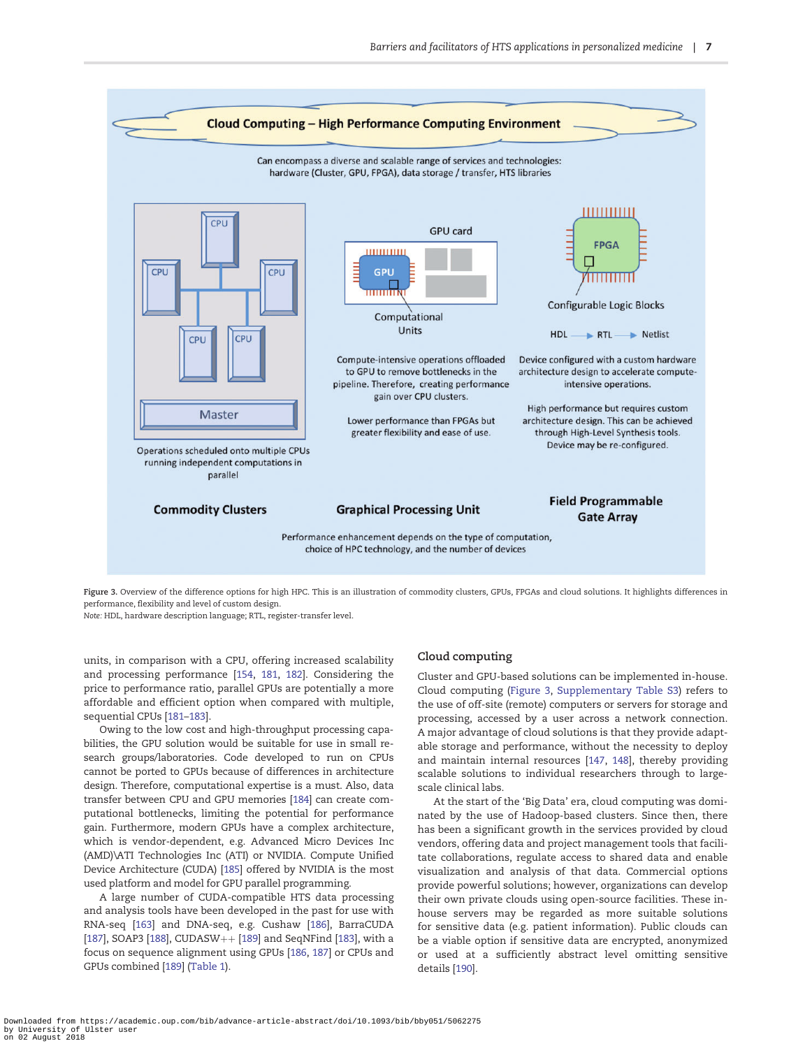<span id="page-6-0"></span>

Figure 3. Overview of the difference options for high HPC. This is an illustration of commodity clusters, GPUs, FPGAs and cloud solutions. It highlights differences in performance, flexibility and level of custom design.

Note: HDL, hardware description language; RTL, register-transfer level.

units, in comparison with a CPU, offering increased scalability and processing performance [\[154,](#page-14-0) [181,](#page-14-0) [182](#page-14-0)]. Considering the price to performance ratio, parallel GPUs are potentially a more affordable and efficient option when compared with multiple, sequential CPUs [\[181–183](#page-14-0)].

Owing to the low cost and high-throughput processing capabilities, the GPU solution would be suitable for use in small research groups/laboratories. Code developed to run on CPUs cannot be ported to GPUs because of differences in architecture design. Therefore, computational expertise is a must. Also, data transfer between CPU and GPU memories [\[184](#page-14-0)] can create computational bottlenecks, limiting the potential for performance gain. Furthermore, modern GPUs have a complex architecture, which is vendor-dependent, e.g. Advanced Micro Devices Inc (AMD)\ATI Technologies Inc (ATI) or NVIDIA. Compute Unified Device Architecture (CUDA) [[185\]](#page-14-0) offered by NVIDIA is the most used platform and model for GPU parallel programming.

A large number of CUDA-compatible HTS data processing and analysis tools have been developed in the past for use with RNA-seq [\[163\]](#page-14-0) and DNA-seq, e.g. Cushaw [\[186\]](#page-15-0), BarraCUDA [\[187\]](#page-15-0), SOAP3 [[188](#page-15-0)], CUDASW++ [\[189\]](#page-15-0) and SeqNFind [\[183](#page-14-0)], with a focus on sequence alignment using GPUs [[186](#page-15-0), [187\]](#page-15-0) or CPUs and GPUs combined [[189](#page-15-0)] ([Table 1\)](#page-7-0).

## Cloud computing

Cluster and GPU-based solutions can be implemented in-house. Cloud computing (Figure 3, [Supplementary Table S3\)](https://academic.oup.com/bib/article-lookup/doi/10.1093/bib/bby051#supplementary-data) refers to the use of off-site (remote) computers or servers for storage and processing, accessed by a user across a network connection. A major advantage of cloud solutions is that they provide adaptable storage and performance, without the necessity to deploy and maintain internal resources [[147](#page-13-0), [148](#page-13-0)], thereby providing scalable solutions to individual researchers through to largescale clinical labs.

At the start of the 'Big Data' era, cloud computing was dominated by the use of Hadoop-based clusters. Since then, there has been a significant growth in the services provided by cloud vendors, offering data and project management tools that facilitate collaborations, regulate access to shared data and enable visualization and analysis of that data. Commercial options provide powerful solutions; however, organizations can develop their own private clouds using open-source facilities. These inhouse servers may be regarded as more suitable solutions for sensitive data (e.g. patient information). Public clouds can be a viable option if sensitive data are encrypted, anonymized or used at a sufficiently abstract level omitting sensitive details [[190](#page-15-0)].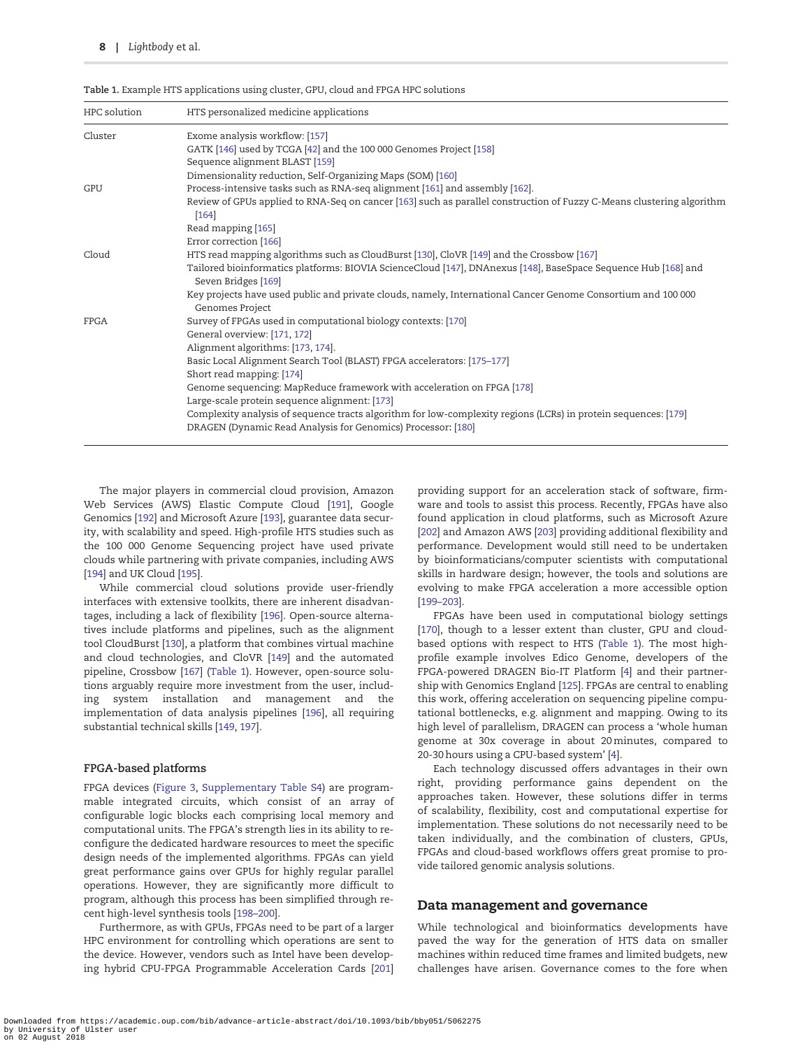| HPC solution | HTS personalized medicine applications                                                                                                |  |  |
|--------------|---------------------------------------------------------------------------------------------------------------------------------------|--|--|
| Cluster      | Exome analysis workflow: [157]                                                                                                        |  |  |
|              | GATK [146] used by TCGA [42] and the 100 000 Genomes Project [158]                                                                    |  |  |
|              | Sequence alignment BLAST [159]                                                                                                        |  |  |
|              | Dimensionality reduction, Self-Organizing Maps (SOM) [160]                                                                            |  |  |
| GPU          | Process-intensive tasks such as RNA-seq alignment [161] and assembly [162].                                                           |  |  |
|              | Review of GPUs applied to RNA-Seq on cancer [163] such as parallel construction of Fuzzy C-Means clustering algorithm<br>$[164]$      |  |  |
|              | Read mapping [165]                                                                                                                    |  |  |
|              | Error correction [166]                                                                                                                |  |  |
| Cloud        | HTS read mapping algorithms such as CloudBurst [130], CloVR [149] and the Crossbow [167]                                              |  |  |
|              | Tailored bioinformatics platforms: BIOVIA ScienceCloud [147], DNAnexus [148], BaseSpace Sequence Hub [168] and<br>Seven Bridges [169] |  |  |
|              | Key projects have used public and private clouds, namely, International Cancer Genome Consortium and 100 000<br>Genomes Project       |  |  |
| <b>FPGA</b>  | Survey of FPGAs used in computational biology contexts: [170]                                                                         |  |  |
|              | General overview: [171, 172]                                                                                                          |  |  |
|              | Alignment algorithms: [173, 174].                                                                                                     |  |  |
|              | Basic Local Alignment Search Tool (BLAST) FPGA accelerators: [175-177]                                                                |  |  |
|              | Short read mapping: [174]                                                                                                             |  |  |
|              | Genome sequencing: MapReduce framework with acceleration on FPGA [178]                                                                |  |  |
|              | Large-scale protein sequence alignment: [173]                                                                                         |  |  |
|              | Complexity analysis of sequence tracts algorithm for low-complexity regions (LCRs) in protein sequences: [179]                        |  |  |
|              | DRAGEN (Dynamic Read Analysis for Genomics) Processor: [180]                                                                          |  |  |

<span id="page-7-0"></span>Table 1. Example HTS applications using cluster, GPU, cloud and FPGA HPC solutions

The major players in commercial cloud provision, Amazon Web Services (AWS) Elastic Compute Cloud [\[191\]](#page-15-0), Google Genomics [[192](#page-15-0)] and Microsoft Azure [[193](#page-15-0)], guarantee data security, with scalability and speed. High-profile HTS studies such as the 100 000 Genome Sequencing project have used private clouds while partnering with private companies, including AWS [\[194\]](#page-15-0) and UK Cloud [\[195\]](#page-15-0).

While commercial cloud solutions provide user-friendly interfaces with extensive toolkits, there are inherent disadvantages, including a lack of flexibility [[196](#page-15-0)]. Open-source alternatives include platforms and pipelines, such as the alignment tool CloudBurst [[130](#page-13-0)], a platform that combines virtual machine and cloud technologies, and CloVR [\[149\]](#page-13-0) and the automated pipeline, Crossbow [[167\]](#page-14-0) (Table 1). However, open-source solutions arguably require more investment from the user, including system installation and management and the implementation of data analysis pipelines [\[196\]](#page-15-0), all requiring substantial technical skills [[149,](#page-13-0) [197](#page-15-0)].

## FPGA-based platforms

FPGA devices ([Figure 3,](#page-6-0) [Supplementary Table S4](https://academic.oup.com/bib/article-lookup/doi/10.1093/bib/bby051#supplementary-data)) are programmable integrated circuits, which consist of an array of configurable logic blocks each comprising local memory and computational units. The FPGA's strength lies in its ability to reconfigure the dedicated hardware resources to meet the specific design needs of the implemented algorithms. FPGAs can yield great performance gains over GPUs for highly regular parallel operations. However, they are significantly more difficult to program, although this process has been simplified through recent high-level synthesis tools [[198–200](#page-15-0)].

Furthermore, as with GPUs, FPGAs need to be part of a larger HPC environment for controlling which operations are sent to the device. However, vendors such as Intel have been developing hybrid CPU-FPGA Programmable Acceleration Cards [\[201\]](#page-15-0) providing support for an acceleration stack of software, firmware and tools to assist this process. Recently, FPGAs have also found application in cloud platforms, such as Microsoft Azure [\[202\]](#page-15-0) and Amazon AWS [\[203\]](#page-15-0) providing additional flexibility and performance. Development would still need to be undertaken by bioinformaticians/computer scientists with computational skills in hardware design; however, the tools and solutions are evolving to make FPGA acceleration a more accessible option [\[199–203](#page-15-0)].

FPGAs have been used in computational biology settings [\[170\]](#page-14-0), though to a lesser extent than cluster, GPU and cloudbased options with respect to HTS (Table 1). The most highprofile example involves Edico Genome, developers of the FPGA-powered DRAGEN Bio-IT Platform [[4\]](#page-10-0) and their partnership with Genomics England [[125](#page-13-0)]. FPGAs are central to enabling this work, offering acceleration on sequencing pipeline computational bottlenecks, e.g. alignment and mapping. Owing to its high level of parallelism, DRAGEN can process a 'whole human genome at 30x coverage in about 20 minutes, compared to 20-30 hours using a CPU-based system' [\[4](#page-10-0)].

Each technology discussed offers advantages in their own right, providing performance gains dependent on the approaches taken. However, these solutions differ in terms of scalability, flexibility, cost and computational expertise for implementation. These solutions do not necessarily need to be taken individually, and the combination of clusters, GPUs, FPGAs and cloud-based workflows offers great promise to provide tailored genomic analysis solutions.

## Data management and governance

While technological and bioinformatics developments have paved the way for the generation of HTS data on smaller machines within reduced time frames and limited budgets, new challenges have arisen. Governance comes to the fore when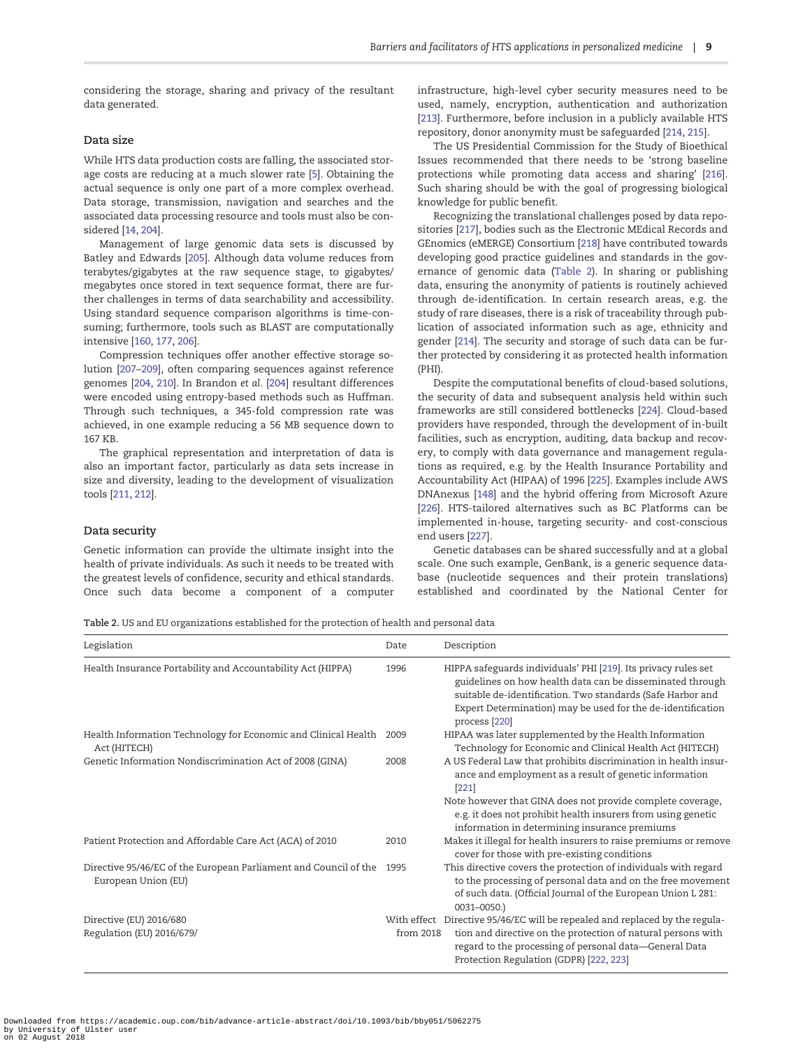<span id="page-8-0"></span>considering the storage, sharing and privacy of the resultant data generated.

#### Data size

While HTS data production costs are falling, the associated storage costs are reducing at a much slower rate [\[5](#page-10-0)]. Obtaining the actual sequence is only one part of a more complex overhead. Data storage, transmission, navigation and searches and the associated data processing resource and tools must also be considered [\[14,](#page-10-0) [204\]](#page-15-0).

Management of large genomic data sets is discussed by Batley and Edwards [[205](#page-15-0)]. Although data volume reduces from terabytes/gigabytes at the raw sequence stage, to gigabytes/ megabytes once stored in text sequence format, there are further challenges in terms of data searchability and accessibility. Using standard sequence comparison algorithms is time-consuming; furthermore, tools such as BLAST are computationally intensive [\[160,](#page-14-0) [177](#page-14-0), [206](#page-15-0)].

Compression techniques offer another effective storage solution [\[207–209](#page-15-0)], often comparing sequences against reference genomes [\[204,](#page-15-0) [210\]](#page-15-0). In Brandon et al. [\[204\]](#page-15-0) resultant differences were encoded using entropy-based methods such as Huffman. Through such techniques, a 345-fold compression rate was achieved, in one example reducing a 56 MB sequence down to 167 KB.

The graphical representation and interpretation of data is also an important factor, particularly as data sets increase in size and diversity, leading to the development of visualization tools [\[211,](#page-15-0) [212](#page-15-0)].

## Data security

Genetic information can provide the ultimate insight into the health of private individuals. As such it needs to be treated with the greatest levels of confidence, security and ethical standards. Once such data become a component of a computer infrastructure, high-level cyber security measures need to be used, namely, encryption, authentication and authorization [\[213\]](#page-15-0). Furthermore, before inclusion in a publicly available HTS repository, donor anonymity must be safeguarded [\[214,](#page-15-0) [215](#page-15-0)].

The US Presidential Commission for the Study of Bioethical Issues recommended that there needs to be 'strong baseline protections while promoting data access and sharing' [\[216\]](#page-15-0). Such sharing should be with the goal of progressing biological knowledge for public benefit.

Recognizing the translational challenges posed by data repositories [\[217\]](#page-15-0), bodies such as the Electronic MEdical Records and GEnomics (eMERGE) Consortium [\[218\]](#page-15-0) have contributed towards developing good practice guidelines and standards in the governance of genomic data (Table 2). In sharing or publishing data, ensuring the anonymity of patients is routinely achieved through de-identification. In certain research areas, e.g. the study of rare diseases, there is a risk of traceability through publication of associated information such as age, ethnicity and gender [\[214\]](#page-15-0). The security and storage of such data can be further protected by considering it as protected health information (PHI).

Despite the computational benefits of cloud-based solutions, the security of data and subsequent analysis held within such frameworks are still considered bottlenecks [[224](#page-15-0)]. Cloud-based providers have responded, through the development of in-built facilities, such as encryption, auditing, data backup and recovery, to comply with data governance and management regulations as required, e.g. by the Health Insurance Portability and Accountability Act (HIPAA) of 1996 [[225\]](#page-15-0). Examples include AWS DNAnexus [[148](#page-13-0)] and the hybrid offering from Microsoft Azure [\[226\]](#page-15-0). HTS-tailored alternatives such as BC Platforms can be implemented in-house, targeting security- and cost-conscious end users [[227](#page-15-0)].

Genetic databases can be shared successfully and at a global scale. One such example, GenBank, is a generic sequence database (nucleotide sequences and their protein translations) established and coordinated by the National Center for

Table 2. US and EU organizations established for the protection of health and personal data

| Legislation                                                                             | Date      | Description                                                                                                                                                                                                                                                                                                       |
|-----------------------------------------------------------------------------------------|-----------|-------------------------------------------------------------------------------------------------------------------------------------------------------------------------------------------------------------------------------------------------------------------------------------------------------------------|
| Health Insurance Portability and Accountability Act (HIPPA)                             | 1996      | HIPPA safeguards individuals' PHI [219]. Its privacy rules set<br>guidelines on how health data can be disseminated through<br>suitable de-identification. Two standards (Safe Harbor and<br>Expert Determination) may be used for the de-identification<br>process [220]                                         |
| Health Information Technology for Economic and Clinical Health<br>Act (HITECH)          | 2009      | HIPAA was later supplemented by the Health Information<br>Technology for Economic and Clinical Health Act (HITECH)                                                                                                                                                                                                |
| Genetic Information Nondiscrimination Act of 2008 (GINA)                                | 2008      | A US Federal Law that prohibits discrimination in health insur-<br>ance and employment as a result of genetic information<br>[221]<br>Note however that GINA does not provide complete coverage,<br>e.g. it does not prohibit health insurers from using genetic<br>information in determining insurance premiums |
| Patient Protection and Affordable Care Act (ACA) of 2010                                | 2010      | Makes it illegal for health insurers to raise premiums or remove<br>cover for those with pre-existing conditions                                                                                                                                                                                                  |
| Directive 95/46/EC of the European Parliament and Council of the<br>European Union (EU) | 1995      | This directive covers the protection of individuals with regard<br>to the processing of personal data and on the free movement<br>of such data. (Official Journal of the European Union L 281:<br>$0031 - 0050.$                                                                                                  |
| Directive (EU) 2016/680<br>Regulation (EU) 2016/679/                                    | from 2018 | With effect Directive 95/46/EC will be repealed and replaced by the regula-<br>tion and directive on the protection of natural persons with<br>regard to the processing of personal data-General Data<br>Protection Regulation (GDPR) [222, 223]                                                                  |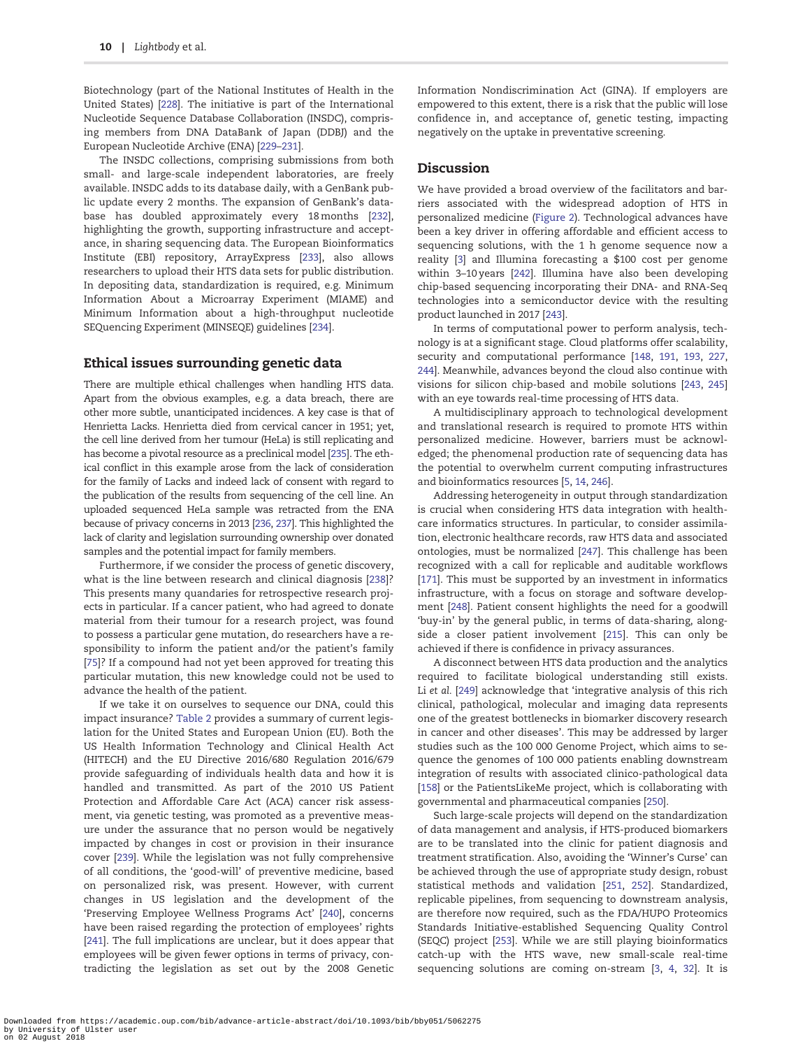<span id="page-9-0"></span>Biotechnology (part of the National Institutes of Health in the United States) [\[228\]](#page-16-0). The initiative is part of the International Nucleotide Sequence Database Collaboration (INSDC), comprising members from DNA DataBank of Japan (DDBJ) and the European Nucleotide Archive (ENA) [\[229–231\]](#page-16-0).

The INSDC collections, comprising submissions from both small- and large-scale independent laboratories, are freely available. INSDC adds to its database daily, with a GenBank public update every 2 months. The expansion of GenBank's database has doubled approximately every 18 months [\[232\]](#page-16-0), highlighting the growth, supporting infrastructure and acceptance, in sharing sequencing data. The European Bioinformatics Institute (EBI) repository, ArrayExpress [\[233\]](#page-16-0), also allows researchers to upload their HTS data sets for public distribution. In depositing data, standardization is required, e.g. Minimum Information About a Microarray Experiment (MIAME) and Minimum Information about a high-throughput nucleotide SEQuencing Experiment (MINSEQE) guidelines [[234\]](#page-16-0).

## Ethical issues surrounding genetic data

There are multiple ethical challenges when handling HTS data. Apart from the obvious examples, e.g. a data breach, there are other more subtle, unanticipated incidences. A key case is that of Henrietta Lacks. Henrietta died from cervical cancer in 1951; yet, the cell line derived from her tumour (HeLa) is still replicating and has become a pivotal resource as a preclinical model [[235](#page-16-0)]. The ethical conflict in this example arose from the lack of consideration for the family of Lacks and indeed lack of consent with regard to the publication of the results from sequencing of the cell line. An uploaded sequenced HeLa sample was retracted from the ENA because of privacy concerns in 2013 [\[236](#page-16-0), [237](#page-16-0)]. This highlighted the lack of clarity and legislation surrounding ownership over donated samples and the potential impact for family members.

Furthermore, if we consider the process of genetic discovery, what is the line between research and clinical diagnosis [[238](#page-16-0)]? This presents many quandaries for retrospective research projects in particular. If a cancer patient, who had agreed to donate material from their tumour for a research project, was found to possess a particular gene mutation, do researchers have a responsibility to inform the patient and/or the patient's family [\[75\]](#page-12-0)? If a compound had not yet been approved for treating this particular mutation, this new knowledge could not be used to advance the health of the patient.

If we take it on ourselves to sequence our DNA, could this impact insurance? [Table 2](#page-8-0) provides a summary of current legislation for the United States and European Union (EU). Both the US Health Information Technology and Clinical Health Act (HITECH) and the EU Directive 2016/680 Regulation 2016/679 provide safeguarding of individuals health data and how it is handled and transmitted. As part of the 2010 US Patient Protection and Affordable Care Act (ACA) cancer risk assessment, via genetic testing, was promoted as a preventive measure under the assurance that no person would be negatively impacted by changes in cost or provision in their insurance cover [\[239\]](#page-16-0). While the legislation was not fully comprehensive of all conditions, the 'good-will' of preventive medicine, based on personalized risk, was present. However, with current changes in US legislation and the development of the 'Preserving Employee Wellness Programs Act' [\[240\]](#page-16-0), concerns have been raised regarding the protection of employees' rights [\[241\]](#page-16-0). The full implications are unclear, but it does appear that employees will be given fewer options in terms of privacy, contradicting the legislation as set out by the 2008 Genetic Information Nondiscrimination Act (GINA). If employers are empowered to this extent, there is a risk that the public will lose confidence in, and acceptance of, genetic testing, impacting negatively on the uptake in preventative screening.

## Discussion

We have provided a broad overview of the facilitators and barriers associated with the widespread adoption of HTS in personalized medicine ([Figure 2](#page-4-0)). Technological advances have been a key driver in offering affordable and efficient access to sequencing solutions, with the 1 h genome sequence now a reality [\[3](#page-10-0)] and Illumina forecasting a \$100 cost per genome within 3–10 years [[242](#page-16-0)]. Illumina have also been developing chip-based sequencing incorporating their DNA- and RNA-Seq technologies into a semiconductor device with the resulting product launched in 2017 [[243](#page-16-0)].

In terms of computational power to perform analysis, technology is at a significant stage. Cloud platforms offer scalability, security and computational performance [[148](#page-13-0), [191,](#page-15-0) [193](#page-15-0), [227](#page-15-0), [244\]](#page-16-0). Meanwhile, advances beyond the cloud also continue with visions for silicon chip-based and mobile solutions [\[243,](#page-16-0) [245\]](#page-16-0) with an eye towards real-time processing of HTS data.

A multidisciplinary approach to technological development and translational research is required to promote HTS within personalized medicine. However, barriers must be acknowledged; the phenomenal production rate of sequencing data has the potential to overwhelm current computing infrastructures and bioinformatics resources [[5,](#page-10-0) [14](#page-10-0), [246](#page-16-0)].

Addressing heterogeneity in output through standardization is crucial when considering HTS data integration with healthcare informatics structures. In particular, to consider assimilation, electronic healthcare records, raw HTS data and associated ontologies, must be normalized [[247](#page-16-0)]. This challenge has been recognized with a call for replicable and auditable workflows [\[171\]](#page-14-0). This must be supported by an investment in informatics infrastructure, with a focus on storage and software development [\[248\]](#page-16-0). Patient consent highlights the need for a goodwill 'buy-in' by the general public, in terms of data-sharing, alongside a closer patient involvement [\[215\]](#page-15-0). This can only be achieved if there is confidence in privacy assurances.

A disconnect between HTS data production and the analytics required to facilitate biological understanding still exists. Li et al. [[249](#page-16-0)] acknowledge that 'integrative analysis of this rich clinical, pathological, molecular and imaging data represents one of the greatest bottlenecks in biomarker discovery research in cancer and other diseases'. This may be addressed by larger studies such as the 100 000 Genome Project, which aims to sequence the genomes of 100 000 patients enabling downstream integration of results with associated clinico-pathological data [\[158\]](#page-14-0) or the PatientsLikeMe project, which is collaborating with governmental and pharmaceutical companies [[250](#page-16-0)].

Such large-scale projects will depend on the standardization of data management and analysis, if HTS-produced biomarkers are to be translated into the clinic for patient diagnosis and treatment stratification. Also, avoiding the 'Winner's Curse' can be achieved through the use of appropriate study design, robust statistical methods and validation [\[251](#page-16-0), [252](#page-16-0)]. Standardized, replicable pipelines, from sequencing to downstream analysis, are therefore now required, such as the FDA/HUPO Proteomics Standards Initiative-established Sequencing Quality Control (SEQC) project [[253](#page-16-0)]. While we are still playing bioinformatics catch-up with the HTS wave, new small-scale real-time sequencing solutions are coming on-stream [[3,](#page-10-0) [4,](#page-10-0) [32\]](#page-11-0). It is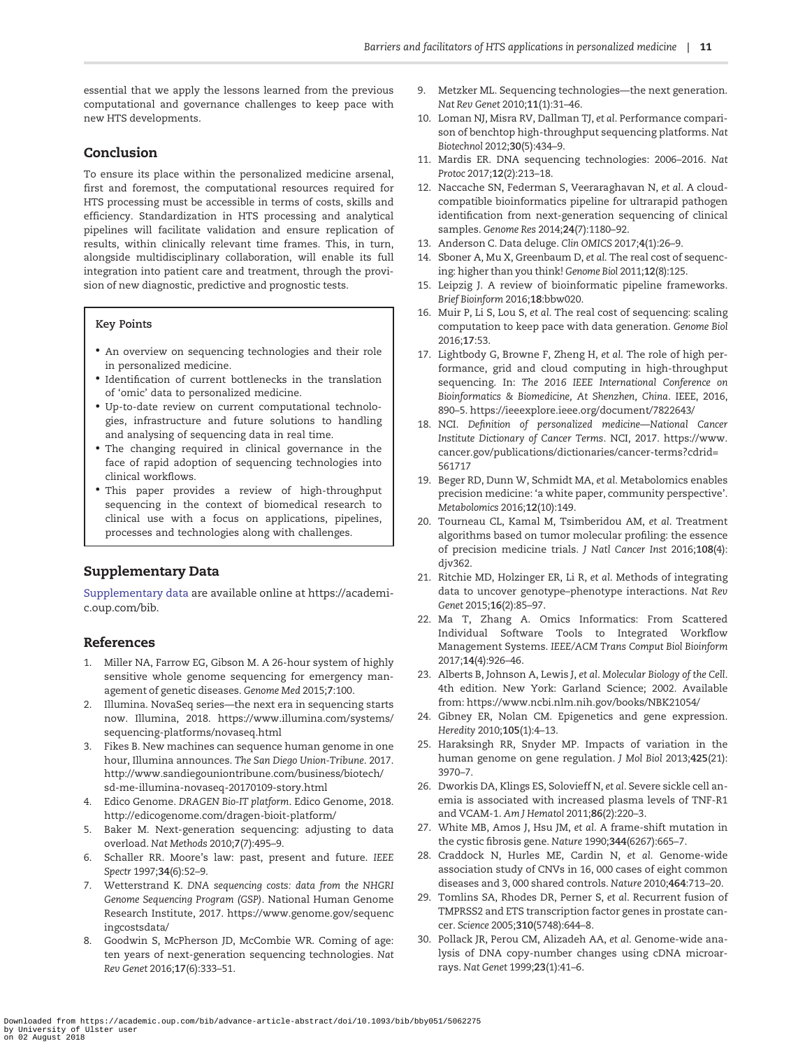<span id="page-10-0"></span>essential that we apply the lessons learned from the previous computational and governance challenges to keep pace with new HTS developments.

## Conclusion

To ensure its place within the personalized medicine arsenal, first and foremost, the computational resources required for HTS processing must be accessible in terms of costs, skills and efficiency. Standardization in HTS processing and analytical pipelines will facilitate validation and ensure replication of results, within clinically relevant time frames. This, in turn, alongside multidisciplinary collaboration, will enable its full integration into patient care and treatment, through the provision of new diagnostic, predictive and prognostic tests.

#### Key Points

- An overview on sequencing technologies and their role in personalized medicine.
- Identification of current bottlenecks in the translation of 'omic' data to personalized medicine.
- Up-to-date review on current computational technologies, infrastructure and future solutions to handling and analysing of sequencing data in real time.
- The changing required in clinical governance in the face of rapid adoption of sequencing technologies into clinical workflows.
- This paper provides a review of high-throughput sequencing in the context of biomedical research to clinical use with a focus on applications, pipelines, processes and technologies along with challenges.

## Supplementary Data

[Supplementary data](https://academic.oup.com/bib/article-lookup/doi/10.1093/bib/bby051#supplementary-data) are available online at https://academic.oup.com/bib.

## References

- [1](#page-1-0). Miller NA, Farrow EG, Gibson M. A 26-hour system of highly sensitive whole genome sequencing for emergency management of genetic diseases. Genome Med 2015;7:100.
- [2](#page-1-0). Illumina. NovaSeq series—the next era in sequencing starts now. Illumina, 2018. [https://www.illumina.com/systems/](https://www.illumina.com/systems/sequencing-platforms/novaseq.html) [sequencing-platforms/novaseq.html](https://www.illumina.com/systems/sequencing-platforms/novaseq.html)
- [3](#page-1-0). Fikes B. New machines can sequence human genome in one hour, Illumina announces. The San Diego Union-Tribune. 2017. [http://www.sandiegouniontribune.com/business/biotech/](http://www.sandiegouniontribune.com/business/biotech/sd-me-illumina-novaseq-20170109-story.html) [sd-me-illumina-novaseq-20170109-story.html](http://www.sandiegouniontribune.com/business/biotech/sd-me-illumina-novaseq-20170109-story.html)
- [4](#page-1-0). Edico Genome. DRAGEN Bio-IT platform. Edico Genome, 2018. <http://edicogenome.com/dragen-bioit-platform/>
- [5](#page-1-0). Baker M. Next-generation sequencing: adjusting to data overload. Nat Methods 2010;7(7):495–9.
- [6](#page-1-0). Schaller RR. Moore's law: past, present and future. IEEE Spectr 1997;34(6):52–9.
- [7](#page-1-0). Wetterstrand K. DNA sequencing costs: data from the NHGRI Genome Sequencing Program (GSP). National Human Genome Research Institute, 2017. [https://www.genome.gov/sequenc](https://www.genome.gov/sequencingcostsdata/) [ingcostsdata/](https://www.genome.gov/sequencingcostsdata/)
- [8](#page-1-0). Goodwin S, McPherson JD, McCombie WR. Coming of age: ten years of next-generation sequencing technologies. Nat Rev Genet 2016;17(6):333–51.
- [9](#page-1-0). Metzker ML. Sequencing technologies—the next generation. Nat Rev Genet 2010;11(1):31–46.
- [10](#page-1-0). Loman NJ, Misra RV, Dallman TJ, et al. Performance comparison of benchtop high-throughput sequencing platforms. Nat Biotechnol 2012;30(5):434–9.
- [11](#page-1-0). Mardis ER. DNA sequencing technologies: 2006–2016. Nat Protoc 2017;12(2):213–18.
- [12](#page-1-0). Naccache SN, Federman S, Veeraraghavan N, et al. A cloudcompatible bioinformatics pipeline for ultrarapid pathogen identification from next-generation sequencing of clinical samples. Genome Res 2014;24(7):1180–92.
- [13](#page-1-0). Anderson C. Data deluge. Clin OMICS 2017;4(1):26–9.
- [14](#page-1-0). Sboner A, Mu X, Greenbaum D, et al. The real cost of sequencing: higher than you think! Genome Biol 2011;12(8):125.
- [15](#page-1-0). Leipzig J. A review of bioinformatic pipeline frameworks. Brief Bioinform 2016;18:bbw020.
- [16](#page-1-0). Muir P, Li S, Lou S, et al. The real cost of sequencing: scaling computation to keep pace with data generation. Genome Biol 2016;17:53.
- [17](#page-1-0). Lightbody G, Browne F, Zheng H, et al. The role of high performance, grid and cloud computing in high-throughput sequencing. In: The 2016 IEEE International Conference on Bioinformatics & Biomedicine, At Shenzhen, China. IEEE, 2016, 890–5.<https://ieeexplore.ieee.org/document/7822643/>
- [18](#page-1-0). NCI. Definition of personalized medicine—National Cancer Institute Dictionary of Cancer Terms. NCI, 2017. [https://www.](https://www.cancer.gov/publications/dictionaries/cancer-terms?cdrid=561717) [cancer.gov/publications/dictionaries/cancer-terms?cdrid=](https://www.cancer.gov/publications/dictionaries/cancer-terms?cdrid=561717) [561717](https://www.cancer.gov/publications/dictionaries/cancer-terms?cdrid=561717)
- [19](#page-2-0). Beger RD, Dunn W, Schmidt MA, et al. Metabolomics enables precision medicine: 'a white paper, community perspective'. Metabolomics 2016;12(10):149.
- 20. Tourneau CL, Kamal M, Tsimberidou AM, et al. Treatment algorithms based on tumor molecular profiling: the essence of precision medicine trials. J Natl Cancer Inst 2016;108(4): djv362.
- 21. Ritchie MD, Holzinger ER, Li R, et al. Methods of integrating data to uncover genotype–phenotype interactions. Nat Rev Genet 2015;16(2):85–97.
- [22](#page-1-0). Ma T, Zhang A. Omics Informatics: From Scattered Individual Software Tools to Integrated Workflow Management Systems. IEEE/ACM Trans Comput Biol Bioinform 2017;14(4):926–46.
- [23](#page-2-0). Alberts B, Johnson A, Lewis J, et al. Molecular Biology of the Cell. 4th edition. New York: Garland Science; 2002. Available from:<https://www.ncbi.nlm.nih.gov/books/NBK21054/>
- [24](#page-2-0). Gibney ER, Nolan CM. Epigenetics and gene expression. Heredity 2010;105(1):4–13.
- [25](#page-2-0). Haraksingh RR, Snyder MP. Impacts of variation in the human genome on gene regulation. J Mol Biol 2013;425(21): 3970–7.
- [26](#page-2-0). Dworkis DA, Klings ES, Solovieff N, et al. Severe sickle cell anemia is associated with increased plasma levels of TNF-R1 and VCAM-1. Am J Hematol 2011;86(2):220–3.
- [27](#page-2-0). White MB, Amos J, Hsu JM, et al. A frame-shift mutation in the cystic fibrosis gene. Nature 1990;344(6267):665–7.
- [28](#page-2-0). Craddock N, Hurles ME, Cardin N, et al. Genome-wide association study of CNVs in 16, 000 cases of eight common diseases and 3, 000 shared controls. Nature 2010;464:713–20.
- [29](#page-2-0). Tomlins SA, Rhodes DR, Perner S, et al. Recurrent fusion of TMPRSS2 and ETS transcription factor genes in prostate cancer. Science 2005;310(5748):644–8.
- [30](#page-2-0). Pollack JR, Perou CM, Alizadeh AA, et al. Genome-wide analysis of DNA copy-number changes using cDNA microarrays. Nat Genet 1999;23(1):41–6.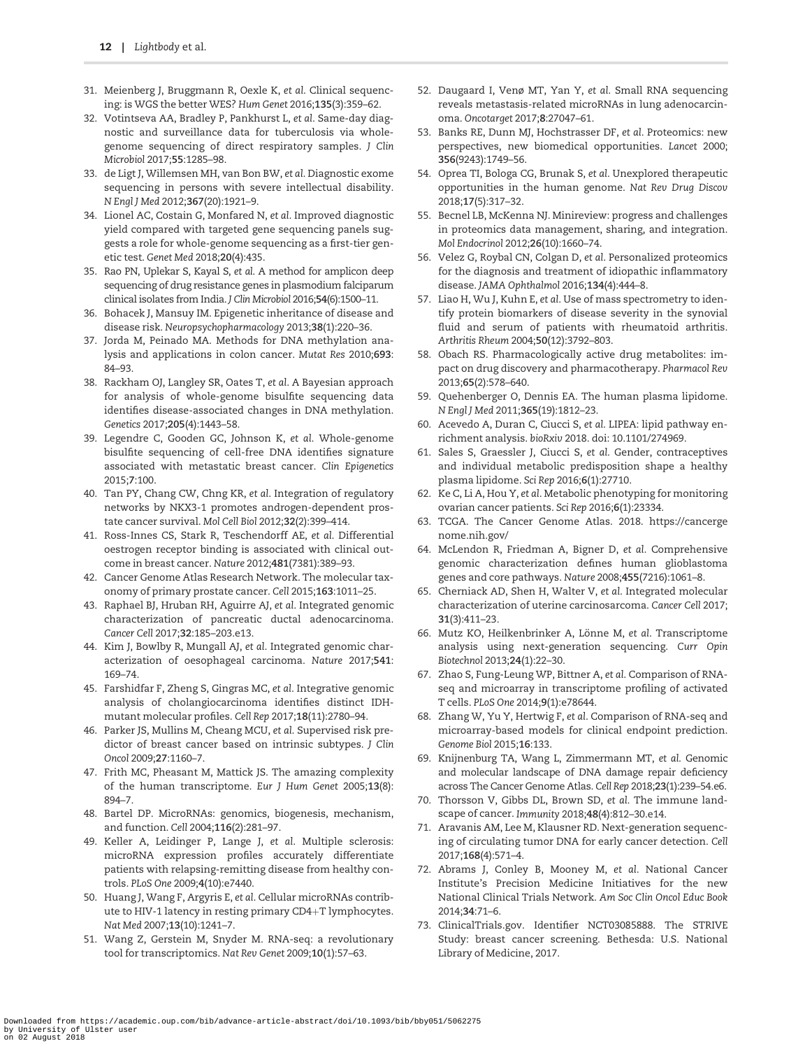- <span id="page-11-0"></span>[31](#page-2-0). Meienberg J, Bruggmann R, Oexle K, et al. Clinical sequencing: is WGS the better WES? Hum Genet 2016;135(3):359–62.
- [32](#page-2-0). Votintseva AA, Bradley P, Pankhurst L, et al. Same-day diagnostic and surveillance data for tuberculosis via wholegenome sequencing of direct respiratory samples. J Clin Microbiol 2017;55:1285–98.
- [33](#page-2-0). de Ligt J, Willemsen MH, van Bon BW, et al. Diagnostic exome sequencing in persons with severe intellectual disability. N Engl J Med 2012;367(20):1921–9.
- [34](#page-2-0). Lionel AC, Costain G, Monfared N, et al. Improved diagnostic yield compared with targeted gene sequencing panels suggests a role for whole-genome sequencing as a first-tier genetic test. Genet Med 2018;20(4):435.
- [35](#page-2-0). Rao PN, Uplekar S, Kayal S, et al. A method for amplicon deep sequencing of drug resistance genes in plasmodium falciparum clinical isolates from India. J Clin Microbiol 2016;54(6):1500–11.
- [36](#page-2-0). Bohacek J, Mansuy IM. Epigenetic inheritance of disease and disease risk. Neuropsychopharmacology 2013;38(1):220–36.
- [37](#page-2-0). Jorda M, Peinado MA. Methods for DNA methylation analysis and applications in colon cancer. Mutat Res 2010;693: 84–93.
- [38](#page-2-0). Rackham OJ, Langley SR, Oates T, et al. A Bayesian approach for analysis of whole-genome bisulfite sequencing data identifies disease-associated changes in DNA methylation. Genetics 2017;205(4):1443–58.
- [39](#page-2-0). Legendre C, Gooden GC, Johnson K, et al. Whole-genome bisulfite sequencing of cell-free DNA identifies signature associated with metastatic breast cancer. Clin Epigenetics 2015;7:100.
- [40](#page-2-0). Tan PY, Chang CW, Chng KR, et al. Integration of regulatory networks by NKX3-1 promotes androgen-dependent prostate cancer survival. Mol Cell Biol 2012;32(2):399–414.
- [41](#page-2-0). Ross-Innes CS, Stark R, Teschendorff AE, et al. Differential oestrogen receptor binding is associated with clinical outcome in breast cancer. Nature 2012;481(7381):389–93.
- [42](#page-2-0). Cancer Genome Atlas Research Network. The molecular taxonomy of primary prostate cancer. Cell 2015;163:1011–25.
- [43](#page-2-0). Raphael BJ, Hruban RH, Aguirre AJ, et al. Integrated genomic characterization of pancreatic ductal adenocarcinoma. Cancer Cell 2017;32:185–203.e13.
- [44](#page-2-0). Kim J, Bowlby R, Mungall AJ, et al. Integrated genomic characterization of oesophageal carcinoma. Nature 2017;541: 169–74.
- [45](#page-2-0). Farshidfar F, Zheng S, Gingras MC, et al. Integrative genomic analysis of cholangiocarcinoma identifies distinct IDHmutant molecular profiles. Cell Rep 2017;18(11):2780–94.
- [46](#page-2-0). Parker JS, Mullins M, Cheang MCU, et al. Supervised risk predictor of breast cancer based on intrinsic subtypes. J Clin Oncol 2009;27:1160–7.
- [47](#page-2-0). Frith MC, Pheasant M, Mattick JS. The amazing complexity of the human transcriptome. Eur J Hum Genet 2005;13(8): 894–7.
- [48](#page-2-0). Bartel DP. MicroRNAs: genomics, biogenesis, mechanism, and function. Cell 2004;116(2):281–97.
- [49](#page-2-0). Keller A, Leidinger P, Lange J, et al. Multiple sclerosis: microRNA expression profiles accurately differentiate patients with relapsing-remitting disease from healthy controls. PLoS One 2009;4(10):e7440.
- [50](#page-2-0). Huang J, Wang F, Argyris E, et al. Cellular microRNAs contribute to HIV-1 latency in resting primary  $CD4+T$  lymphocytes. Nat Med 2007;13(10):1241–7.
- [51](#page-2-0). Wang Z, Gerstein M, Snyder M. RNA-seq: a revolutionary tool for transcriptomics. Nat Rev Genet 2009;10(1):57–63.
- [52](#page-2-0). Daugaard I, Venø MT, Yan Y, et al. Small RNA sequencing reveals metastasis-related microRNAs in lung adenocarcinoma. Oncotarget 2017;8:27047–61.
- [53](#page-2-0). Banks RE, Dunn MJ, Hochstrasser DF, et al. Proteomics: new perspectives, new biomedical opportunities. Lancet 2000; 356(9243):1749–56.
- [54](#page-2-0). Oprea TI, Bologa CG, Brunak S, et al. Unexplored therapeutic opportunities in the human genome. Nat Rev Drug Discov 2018;17(5):317–32.
- [55](#page-2-0). Becnel LB, McKenna NJ. Minireview: progress and challenges in proteomics data management, sharing, and integration. Mol Endocrinol 2012;26(10):1660–74.
- [56](#page-2-0). Velez G, Roybal CN, Colgan D, et al. Personalized proteomics for the diagnosis and treatment of idiopathic inflammatory disease. JAMA Ophthalmol 2016;134(4):444–8.
- [57](#page-2-0). Liao H, Wu J, Kuhn E, et al. Use of mass spectrometry to identify protein biomarkers of disease severity in the synovial fluid and serum of patients with rheumatoid arthritis. Arthritis Rheum 2004;50(12):3792–803.
- [58](#page-2-0). Obach RS. Pharmacologically active drug metabolites: impact on drug discovery and pharmacotherapy. Pharmacol Rev 2013;65(2):578–640.
- [59](#page-2-0). Quehenberger O, Dennis EA. The human plasma lipidome. N Engl J Med 2011;365(19):1812–23.
- [60](#page-2-0). Acevedo A, Duran C, Ciucci S, et al. LIPEA: lipid pathway enrichment analysis. bioRxiv 2018. doi: 10.1101/274969.
- [61](#page-2-0). Sales S, Graessler J, Ciucci S, et al. Gender, contraceptives and individual metabolic predisposition shape a healthy plasma lipidome. Sci Rep 2016;6(1):27710.
- [62](#page-2-0). Ke C, Li A, Hou Y, et al. Metabolic phenotyping for monitoring ovarian cancer patients. Sci Rep 2016;6(1):23334.
- [63](#page-2-0). TCGA. The Cancer Genome Atlas. 2018. [https://cancerge](https://cancergenome.nih.gov/) [nome.nih.gov/](https://cancergenome.nih.gov/)
- [64](#page-3-0). McLendon R, Friedman A, Bigner D, et al. Comprehensive genomic characterization defines human glioblastoma genes and core pathways. Nature 2008;455(7216):1061–8.
- [65](#page-3-0). Cherniack AD, Shen H, Walter V, et al. Integrated molecular characterization of uterine carcinosarcoma. Cancer Cell 2017; 31(3):411–23.
- [66](#page-3-0). Mutz KO, Heilkenbrinker A, Lönne M, et al. Transcriptome analysis using next-generation sequencing. Curr Opin Biotechnol 2013;24(1):22–30.
- [67](#page-3-0). Zhao S, Fung-Leung WP, Bittner A, et al. Comparison of RNAseq and microarray in transcriptome profiling of activated T cells. PLoS One 2014;9(1):e78644.
- [68](#page-3-0). Zhang W, Yu Y, Hertwig F, et al. Comparison of RNA-seq and microarray-based models for clinical endpoint prediction. Genome Biol 2015;16:133.
- [69](#page-3-0). Knijnenburg TA, Wang L, Zimmermann MT, et al. Genomic and molecular landscape of DNA damage repair deficiency across The Cancer Genome Atlas. Cell Rep 2018;23(1):239–54.e6.
- [70](#page-3-0). Thorsson V, Gibbs DL, Brown SD, et al. The immune landscape of cancer. Immunity 2018;48(4):812–30.e14.
- [71](#page-3-0). Aravanis AM, Lee M, Klausner RD. Next-generation sequencing of circulating tumor DNA for early cancer detection. Cell 2017;168(4):571–4.
- [72](#page-3-0). Abrams J, Conley B, Mooney M, et al. National Cancer Institute's Precision Medicine Initiatives for the new National Clinical Trials Network. Am Soc Clin Oncol Educ Book 2014;34:71–6.
- [73](#page-3-0). ClinicalTrials.gov. Identifier NCT03085888. The STRIVE Study: breast cancer screening. Bethesda: U.S. National Library of Medicine, 2017.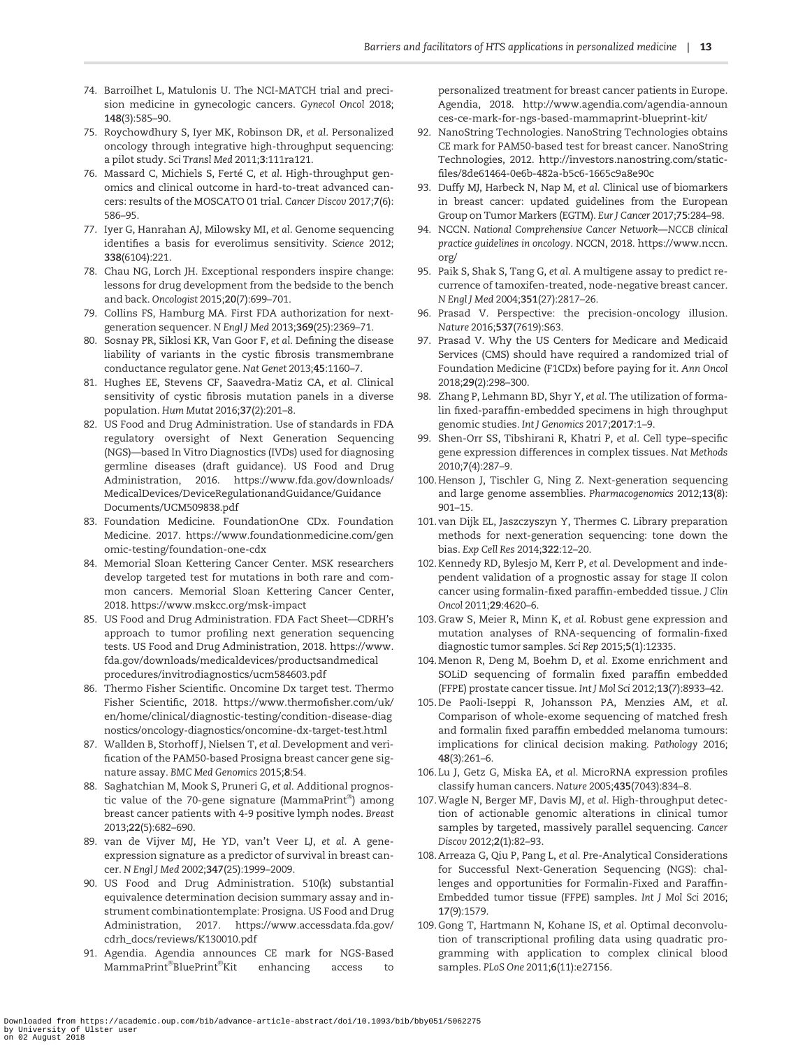- <span id="page-12-0"></span>[74](#page-3-0). Barroilhet L, Matulonis U. The NCI-MATCH trial and precision medicine in gynecologic cancers. Gynecol Oncol 2018; 148(3):585–90.
- [75](#page-3-0). Roychowdhury S, Iyer MK, Robinson DR, et al. Personalized oncology through integrative high-throughput sequencing: a pilot study. Sci Transl Med 2011;3:111ra121.
- [76](#page-3-0). Massard C, Michiels S, Ferté C, et al. High-throughput genomics and clinical outcome in hard-to-treat advanced cancers: results of the MOSCATO 01 trial. Cancer Discov 2017;7(6): 586–95.
- [77](#page-3-0). Iyer G, Hanrahan AJ, Milowsky MI, et al. Genome sequencing identifies a basis for everolimus sensitivity. Science 2012; 338(6104):221.
- [78](#page-3-0). Chau NG, Lorch JH. Exceptional responders inspire change: lessons for drug development from the bedside to the bench and back. Oncologist 2015;20(7):699–701.
- 79. Collins FS, Hamburg MA. First FDA authorization for nextgeneration sequencer. N Engl J Med 2013;369(25):2369–71.
- 80. Sosnay PR, Siklosi KR, Van Goor F, et al. Defining the disease liability of variants in the cystic fibrosis transmembrane conductance regulator gene. Nat Genet 2013;45:1160–7.
- 81. Hughes EE, Stevens CF, Saavedra-Matiz CA, et al. Clinical sensitivity of cystic fibrosis mutation panels in a diverse population. Hum Mutat 2016;37(2):201–8.
- [82](#page-3-0). US Food and Drug Administration. Use of standards in FDA regulatory oversight of Next Generation Sequencing (NGS)—based In Vitro Diagnostics (IVDs) used for diagnosing germline diseases (draft guidance). US Food and Drug Administration, 2016. [https://www.fda.gov/downloads/](https://www.fda.gov/downloads/MedicalDevices/DeviceRegulationandGuidance/GuidanceDocuments/UCM509838.pdf) [MedicalDevices/DeviceRegulationandGuidance/Guidance](https://www.fda.gov/downloads/MedicalDevices/DeviceRegulationandGuidance/GuidanceDocuments/UCM509838.pdf) [Documents/UCM509838.pdf](https://www.fda.gov/downloads/MedicalDevices/DeviceRegulationandGuidance/GuidanceDocuments/UCM509838.pdf)
- [83](#page-3-0). Foundation Medicine. FoundationOne CDx. Foundation Medicine. 2017. [https://www.foundationmedicine.com/gen](https://www.foundationmedicine.com/genomic-testing/foundation-one-cdx) [omic-testing/foundation-one-cdx](https://www.foundationmedicine.com/genomic-testing/foundation-one-cdx)
- [84](#page-3-0). Memorial Sloan Kettering Cancer Center. MSK researchers develop targeted test for mutations in both rare and common cancers. Memorial Sloan Kettering Cancer Center, 2018.<https://www.mskcc.org/msk-impact>
- [85](#page-3-0). US Food and Drug Administration. FDA Fact Sheet—CDRH's approach to tumor profiling next generation sequencing tests. US Food and Drug Administration, 2018. [https://www.](https://www.fda.gov/downloads/medicaldevices/productsandmedicalprocedures/invitrodiagnostics/ucm584603.pdf) [fda.gov/downloads/medicaldevices/productsandmedical](https://www.fda.gov/downloads/medicaldevices/productsandmedicalprocedures/invitrodiagnostics/ucm584603.pdf) [procedures/invitrodiagnostics/ucm584603.pdf](https://www.fda.gov/downloads/medicaldevices/productsandmedicalprocedures/invitrodiagnostics/ucm584603.pdf)
- [86](#page-3-0). Thermo Fisher Scientific. Oncomine Dx target test. Thermo Fisher Scientific, 2018. [https://www.thermofisher.com/uk/](https://www.thermofisher.com/uk/en/home/clinical/diagnostic-testing/condition-disease-diagnostics/oncology-diagnostics/oncomine-dx-target-test.html) [en/home/clinical/diagnostic-testing/condition-disease-diag](https://www.thermofisher.com/uk/en/home/clinical/diagnostic-testing/condition-disease-diagnostics/oncology-diagnostics/oncomine-dx-target-test.html) [nostics/oncology-diagnostics/oncomine-dx-target-test.html](https://www.thermofisher.com/uk/en/home/clinical/diagnostic-testing/condition-disease-diagnostics/oncology-diagnostics/oncomine-dx-target-test.html)
- [87](#page-3-0). Wallden B, Storhoff J, Nielsen T, et al. Development and verification of the PAM50-based Prosigna breast cancer gene signature assay. BMC Med Genomics 2015;8:54.
- [88](#page-3-0). Saghatchian M, Mook S, Pruneri G, et al. Additional prognostic value of the 70-gene signature (MammaPrint®) among breast cancer patients with 4-9 positive lymph nodes. Breast 2013;22(5):682–690.
- [89](#page-3-0). van de Vijver MJ, He YD, van't Veer LJ, et al. A geneexpression signature as a predictor of survival in breast cancer. N Engl J Med 2002;347(25):1999–2009.
- 90. US Food and Drug Administration. 510(k) substantial equivalence determination decision summary assay and instrument combinationtemplate: Prosigna. US Food and Drug Administration, 2017. [https://www.accessdata.fda.gov/](https://www.accessdata.fda.gov/cdrh_docs/reviews/K130010.pdf) [cdrh\\_docs/reviews/K130010.pdf](https://www.accessdata.fda.gov/cdrh_docs/reviews/K130010.pdf)
- 91. Agendia. Agendia announces CE mark for NGS-Based  $\mathsf{MammaPrint}^{\circledast}\mathsf{BluePrint}^{\circledast}$ enhancing access to

personalized treatment for breast cancer patients in Europe. Agendia, 2018. [http://www.agendia.com/agendia-announ](http://www.agendia.com/agendia-announces-ce-mark-for-ngs-based-mammaprint-blueprint-kit/) [ces-ce-mark-for-ngs-based-mammaprint-blueprint-kit/](http://www.agendia.com/agendia-announces-ce-mark-for-ngs-based-mammaprint-blueprint-kit/)

- 92. NanoString Technologies. NanoString Technologies obtains CE mark for PAM50-based test for breast cancer. NanoString Technologies, 2012. [http://investors.nanostring.com/static](http://investors.nanostring.com/static-files/8de61464-0e6b-482a-b5c6-1665c9a8e90c)[files/8de61464-0e6b-482a-b5c6-1665c9a8e90c](http://investors.nanostring.com/static-files/8de61464-0e6b-482a-b5c6-1665c9a8e90c)
- [93](#page-3-0). Duffy MJ, Harbeck N, Nap M, et al. Clinical use of biomarkers in breast cancer: updated guidelines from the European Group on Tumor Markers (EGTM). Eur J Cancer 2017;75:284–98.
- [94](#page-3-0). NCCN. National Comprehensive Cancer Network—NCCB clinical practice guidelines in oncology. NCCN, 2018. [https://www.nccn.](https://www.nccn.org/) [org/](https://www.nccn.org/)
- [95](#page-3-0). Paik S, Shak S, Tang G, et al. A multigene assay to predict recurrence of tamoxifen-treated, node-negative breast cancer. N Engl J Med 2004;351(27):2817–26.
- [96](#page-3-0). Prasad V. Perspective: the precision-oncology illusion. Nature 2016;537(7619):S63.
- [97](#page-3-0). Prasad V. Why the US Centers for Medicare and Medicaid Services (CMS) should have required a randomized trial of Foundation Medicine (F1CDx) before paying for it. Ann Oncol 2018;29(2):298–300.
- [98](#page-3-0). Zhang P, Lehmann BD, Shyr Y, et al. The utilization of formalin fixed-paraffin-embedded specimens in high throughput genomic studies. Int J Genomics 2017;2017:1–9.
- [99](#page-3-0). Shen-Orr SS, Tibshirani R, Khatri P, et al. Cell type–specific gene expression differences in complex tissues. Nat Methods 2010;7(4):287–9.
- [100.](#page-3-0) Henson J, Tischler G, Ning Z. Next-generation sequencing and large genome assemblies. Pharmacogenomics 2012;13(8): 901–15.
- [101.](#page-3-0) van Dijk EL, Jaszczyszyn Y, Thermes C. Library preparation methods for next-generation sequencing: tone down the bias. Exp Cell Res 2014;322:12–20.
- [102.](#page-3-0) Kennedy RD, Bylesjo M, Kerr P, et al. Development and independent validation of a prognostic assay for stage II colon cancer using formalin-fixed paraffin-embedded tissue. J Clin Oncol 2011;29:4620–6.
- [103.](#page-3-0) Graw S, Meier R, Minn K, et al. Robust gene expression and mutation analyses of RNA-sequencing of formalin-fixed diagnostic tumor samples. Sci Rep 2015;5(1):12335.
- [104.](#page-3-0) Menon R, Deng M, Boehm D, et al. Exome enrichment and SOLiD sequencing of formalin fixed paraffin embedded (FFPE) prostate cancer tissue. Int J Mol Sci 2012;13(7):8933–42.
- [105.](#page-3-0) De Paoli-Iseppi R, Johansson PA, Menzies AM, et al. Comparison of whole-exome sequencing of matched fresh and formalin fixed paraffin embedded melanoma tumours: implications for clinical decision making. Pathology 2016; 48(3):261–6.
- [106.](#page-4-0) Lu J, Getz G, Miska EA, et al. MicroRNA expression profiles classify human cancers. Nature 2005;435(7043):834–8.
- [107.](#page-4-0) Wagle N, Berger MF, Davis MJ, et al. High-throughput detection of actionable genomic alterations in clinical tumor samples by targeted, massively parallel sequencing. Cancer Discov 2012;2(1):82–93.
- [108.](#page-4-0) Arreaza G, Qiu P, Pang L, et al. Pre-Analytical Considerations for Successful Next-Generation Sequencing (NGS): challenges and opportunities for Formalin-Fixed and Paraffin-Embedded tumor tissue (FFPE) samples. Int J Mol Sci 2016; 17(9):1579.
- 109. Gong T, Hartmann N, Kohane IS, et al. Optimal deconvolution of transcriptional profiling data using quadratic programming with application to complex clinical blood samples. PLoS One 2011;6(11):e27156.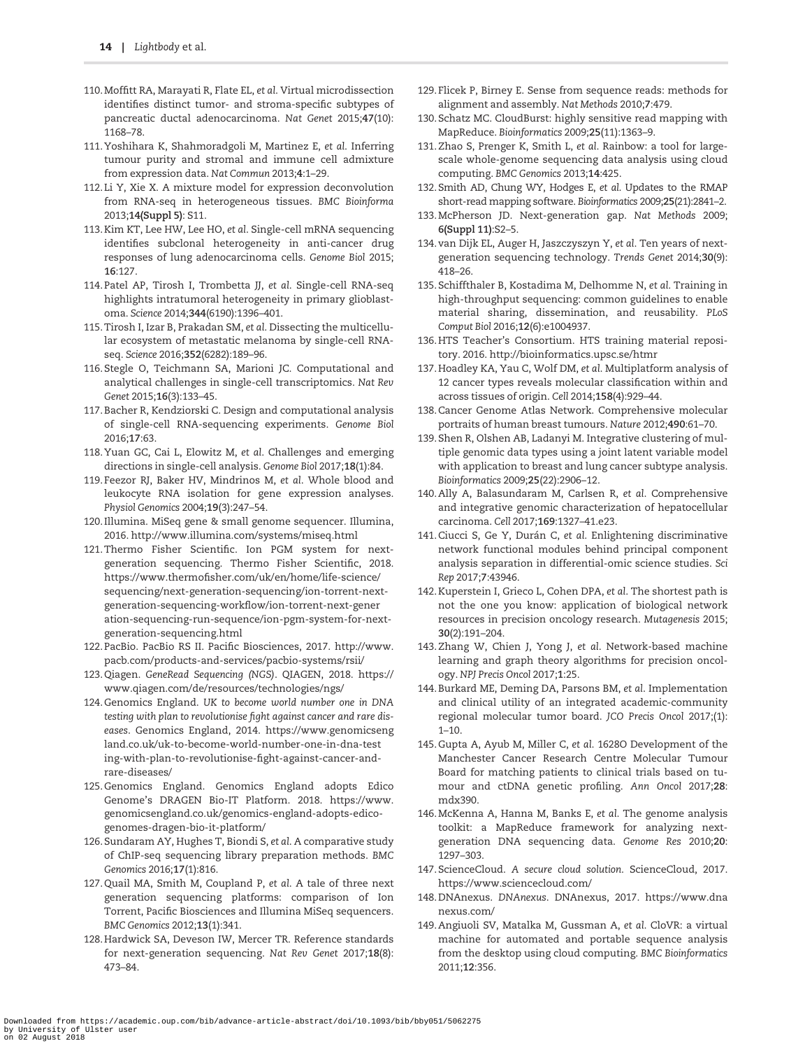- <span id="page-13-0"></span>110. Moffitt RA, Marayati R, Flate EL, et al. Virtual microdissection identifies distinct tumor- and stroma-specific subtypes of pancreatic ductal adenocarcinoma. Nat Genet 2015;47(10): 1168–78.
- 111. Yoshihara K, Shahmoradgoli M, Martinez E, et al. Inferring tumour purity and stromal and immune cell admixture from expression data. Nat Commun 2013;4:1–29.
- 112. Li Y, Xie X. A mixture model for expression deconvolution from RNA-seq in heterogeneous tissues. BMC Bioinforma 2013;14(Suppl 5): S11.
- [113.](#page-4-0) Kim KT, Lee HW, Lee HO, et al. Single-cell mRNA sequencing identifies subclonal heterogeneity in anti-cancer drug responses of lung adenocarcinoma cells. Genome Biol 2015; 16:127.
- [114.](#page-4-0) Patel AP, Tirosh I, Trombetta JJ, et al. Single-cell RNA-seq highlights intratumoral heterogeneity in primary glioblastoma. Science 2014;344(6190):1396–401.
- [115.](#page-4-0) Tirosh I, Izar B, Prakadan SM, et al. Dissecting the multicellular ecosystem of metastatic melanoma by single-cell RNAseq. Science 2016;352(6282):189–96.
- 116. Stegle O, Teichmann SA, Marioni JC. Computational and analytical challenges in single-cell transcriptomics. Nat Rev Genet 2015;16(3):133–45.
- 117. Bacher R, Kendziorski C. Design and computational analysis of single-cell RNA-sequencing experiments. Genome Biol 2016;17:63.
- 118. Yuan GC, Cai L, Elowitz M, et al. Challenges and emerging directions in single-cell analysis. Genome Biol 2017;18(1):84.
- [119.](#page-4-0) Feezor RJ, Baker HV, Mindrinos M, et al. Whole blood and leukocyte RNA isolation for gene expression analyses. Physiol Genomics 2004;19(3):247–54.
- [120.](#page-4-0) Illumina. MiSeq gene & small genome sequencer. Illumina, 2016.<http://www.illumina.com/systems/miseq.html>
- [121.](#page-4-0) Thermo Fisher Scientific. Ion PGM system for nextgeneration sequencing. Thermo Fisher Scientific, 2018. [https://www.thermofisher.com/uk/en/home/life-science/](https://www.thermofisher.com/uk/en/home/life-science/sequencing/next-generation-sequencing/ion-torrent-next-generation-sequencing-workflow/ion-torrent-next-generation-sequencing-run-sequence/ion-pgm-system-for-next-generation-sequencing.html) [sequencing/next-generation-sequencing/ion-torrent-next](https://www.thermofisher.com/uk/en/home/life-science/sequencing/next-generation-sequencing/ion-torrent-next-generation-sequencing-workflow/ion-torrent-next-generation-sequencing-run-sequence/ion-pgm-system-for-next-generation-sequencing.html)[generation-sequencing-workflow/ion-torrent-next-gener](https://www.thermofisher.com/uk/en/home/life-science/sequencing/next-generation-sequencing/ion-torrent-next-generation-sequencing-workflow/ion-torrent-next-generation-sequencing-run-sequence/ion-pgm-system-for-next-generation-sequencing.html) [ation-sequencing-run-sequence/ion-pgm-system-for-next](https://www.thermofisher.com/uk/en/home/life-science/sequencing/next-generation-sequencing/ion-torrent-next-generation-sequencing-workflow/ion-torrent-next-generation-sequencing-run-sequence/ion-pgm-system-for-next-generation-sequencing.html)[generation-sequencing.html](https://www.thermofisher.com/uk/en/home/life-science/sequencing/next-generation-sequencing/ion-torrent-next-generation-sequencing-workflow/ion-torrent-next-generation-sequencing-run-sequence/ion-pgm-system-for-next-generation-sequencing.html)
- [122.](#page-4-0) PacBio. PacBio RS II. Pacific Biosciences, 2017. [http://www.](http://www.pacb.com/products-and-services/pacbio-systems/rsii/) [pacb.com/products-and-services/pacbio-systems/rsii/](http://www.pacb.com/products-and-services/pacbio-systems/rsii/)
- [123.](#page-4-0) Qiagen. GeneRead Sequencing (NGS). QIAGEN, 2018. [https://](https://www.qiagen.com/de/resources/technologies/ngs/) [www.qiagen.com/de/resources/technologies/ngs/](https://www.qiagen.com/de/resources/technologies/ngs/)
- [124.](#page-4-0) Genomics England. UK to become world number one in DNA testing with plan to revolutionise fight against cancer and rare diseases. Genomics England, 2014. [https://www.genomicseng](https://www.genomicsengland.co.uk/uk-to-become-world-number-one-in-dna-testing-with-plan-to-revolutionise-fight-against-cancer-and-rare-diseases/) [land.co.uk/uk-to-become-world-number-one-in-dna-test](https://www.genomicsengland.co.uk/uk-to-become-world-number-one-in-dna-testing-with-plan-to-revolutionise-fight-against-cancer-and-rare-diseases/) [ing-with-plan-to-revolutionise-fight-against-cancer-and](https://www.genomicsengland.co.uk/uk-to-become-world-number-one-in-dna-testing-with-plan-to-revolutionise-fight-against-cancer-and-rare-diseases/)[rare-diseases/](https://www.genomicsengland.co.uk/uk-to-become-world-number-one-in-dna-testing-with-plan-to-revolutionise-fight-against-cancer-and-rare-diseases/)
- [125.](#page-4-0) Genomics England. Genomics England adopts Edico Genome's DRAGEN Bio-IT Platform. 2018. [https://www.](https://www.genomicsengland.co.uk/genomics-england-adopts-edico-genomes-dragen-bio-it-platform/) [genomicsengland.co.uk/genomics-england-adopts-edico](https://www.genomicsengland.co.uk/genomics-england-adopts-edico-genomes-dragen-bio-it-platform/)[genomes-dragen-bio-it-platform/](https://www.genomicsengland.co.uk/genomics-england-adopts-edico-genomes-dragen-bio-it-platform/)
- [126.](#page-5-0) Sundaram AY, Hughes T, Biondi S, et al. A comparative study of ChIP-seq sequencing library preparation methods. BMC Genomics 2016;17(1):816.
- [127.](#page-5-0) Quail MA, Smith M, Coupland P, et al. A tale of three next generation sequencing platforms: comparison of Ion Torrent, Pacific Biosciences and Illumina MiSeq sequencers. BMC Genomics 2012;13(1):341.
- [128.](#page-5-0) Hardwick SA, Deveson IW, Mercer TR. Reference standards for next-generation sequencing. Nat Rev Genet 2017;18(8): 473–84.
- [129.](#page-5-0) Flicek P, Birney E. Sense from sequence reads: methods for alignment and assembly. Nat Methods 2010;7:479.
- [130.](#page-5-0) Schatz MC. CloudBurst: highly sensitive read mapping with MapReduce. Bioinformatics 2009;25(11):1363–9.
- [131.](#page-5-0) Zhao S, Prenger K, Smith L, et al. Rainbow: a tool for largescale whole-genome sequencing data analysis using cloud computing. BMC Genomics 2013;14:425.
- [132.](#page-5-0) Smith AD, Chung WY, Hodges E, et al. Updates to the RMAP short-read mapping software. Bioinformatics 2009;25(21):2841–2.
- [133.](#page-5-0) McPherson JD. Next-generation gap. Nat Methods 2009; 6(Suppl 11):S2–5.
- [134.](#page-5-0) van Dijk EL, Auger H, Jaszczyszyn Y, et al. Ten years of nextgeneration sequencing technology. Trends Genet 2014;30(9): 418–26.
- [135.](#page-5-0) Schiffthaler B, Kostadima M, Delhomme N, et al. Training in high-throughput sequencing: common guidelines to enable material sharing, dissemination, and reusability. PLoS Comput Biol 2016;12(6):e1004937.
- [136.](#page-5-0) HTS Teacher's Consortium. HTS training material repository. 2016.<http://bioinformatics.upsc.se/htmr>
- [137.](#page-5-0) Hoadley KA, Yau C, Wolf DM, et al. Multiplatform analysis of 12 cancer types reveals molecular classification within and across tissues of origin. Cell 2014;158(4):929–44.
- [138.](#page-5-0) Cancer Genome Atlas Network. Comprehensive molecular portraits of human breast tumours. Nature 2012;490:61–70.
- [139.](#page-5-0) Shen R, Olshen AB, Ladanyi M. Integrative clustering of multiple genomic data types using a joint latent variable model with application to breast and lung cancer subtype analysis. Bioinformatics 2009;25(22):2906–12.
- [140.](#page-5-0) Ally A, Balasundaram M, Carlsen R, et al. Comprehensive and integrative genomic characterization of hepatocellular carcinoma. Cell 2017;169:1327–41.e23.
- 141. Ciucci S, Ge Y, Durán C, et al. Enlightening discriminative network functional modules behind principal component analysis separation in differential-omic science studies. Sci Rep 2017;7:43946.
- 142. Kuperstein I, Grieco L, Cohen DPA, et al. The shortest path is not the one you know: application of biological network resources in precision oncology research. Mutagenesis 2015; 30(2):191–204.
- 143. Zhang W, Chien J, Yong J, et al. Network-based machine learning and graph theory algorithms for precision oncology. NPJ Precis Oncol 2017;1:25.
- [144.](#page-5-0) Burkard ME, Deming DA, Parsons BM, et al. Implementation and clinical utility of an integrated academic-community regional molecular tumor board. JCO Precis Oncol 2017;(1): 1–10.
- [145.](#page-5-0) Gupta A, Ayub M, Miller C, et al. 1628O Development of the Manchester Cancer Research Centre Molecular Tumour Board for matching patients to clinical trials based on tumour and ctDNA genetic profiling. Ann Oncol 2017;28: mdx390.
- [146.](#page-5-0) McKenna A, Hanna M, Banks E, et al. The genome analysis toolkit: a MapReduce framework for analyzing nextgeneration DNA sequencing data. Genome Res 2010;20: 1297–303.
- [147.](#page-6-0) ScienceCloud. A secure cloud solution. ScienceCloud, 2017. <https://www.sciencecloud.com/>
- [148.](#page-6-0) DNAnexus. DNAnexus. DNAnexus, 2017. [https://www.dna](https://www.dnanexus.com/) [nexus.com/](https://www.dnanexus.com/)
- [149.](#page-7-0) Angiuoli SV, Matalka M, Gussman A, et al. CloVR: a virtual machine for automated and portable sequence analysis from the desktop using cloud computing. BMC Bioinformatics 2011;12:356.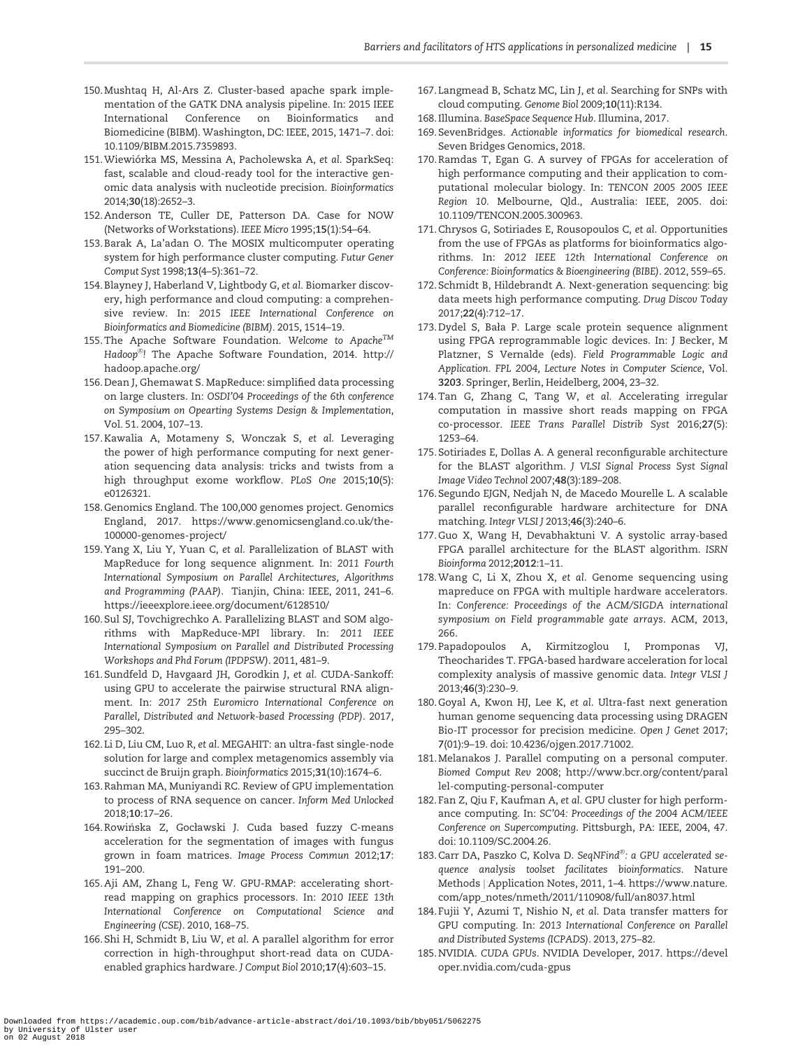- <span id="page-14-0"></span>[150.](#page-5-0) Mushtaq H, Al-Ars Z. Cluster-based apache spark implementation of the GATK DNA analysis pipeline. In: 2015 IEEE International Conference on Bioinformatics and Biomedicine (BIBM). Washington, DC: IEEE, 2015, 1471–7. doi: 10.1109/BIBM.2015.7359893.
- [151.](#page-5-0) Wiewiórka MS, Messina A, Pacholewska A, et al. SparkSeq: fast, scalable and cloud-ready tool for the interactive genomic data analysis with nucleotide precision. Bioinformatics 2014;30(18):2652–3.
- [152.](#page-5-0) Anderson TE, Culler DE, Patterson DA. Case for NOW (Networks of Workstations). IEEE Micro 1995;15(1):54–64.
- [153.](#page-5-0) Barak A, La'adan O. The MOSIX multicomputer operating system for high performance cluster computing. Futur Gener Comput Syst 1998;13(4–5):361–72.
- [154.](#page-5-0) Blayney J, Haberland V, Lightbody G, et al. Biomarker discovery, high performance and cloud computing: a comprehensive review. In: 2015 IEEE International Conference on Bioinformatics and Biomedicine (BIBM). 2015, 1514–19.
- [155.](#page-5-0) The Apache Software Foundation. Welcome to Apache $^{TM}$ Hadoop $^\circ$ ! The Apache Software Foundation, 2014. [http://](http://hadoop.apache.org/) [hadoop.apache.org/](http://hadoop.apache.org/)
- [156.](#page-5-0) Dean J, Ghemawat S. MapReduce: simplified data processing on large clusters. In: OSDI'04 Proceedings of the 6th conference on Symposium on Opearting Systems Design & Implementation, Vol. 51. 2004, 107–13.
- [157.](#page-5-0) Kawalia A, Motameny S, Wonczak S, et al. Leveraging the power of high performance computing for next generation sequencing data analysis: tricks and twists from a high throughput exome workflow. PLoS One 2015;10(5): e0126321.
- [158.](#page-5-0) Genomics England. The 100,000 genomes project. Genomics England, 2017. [https://www.genomicsengland.co.uk/the-](https://www.genomicsengland.co.uk/the-100000-genomes-project/)[100000-genomes-project/](https://www.genomicsengland.co.uk/the-100000-genomes-project/)
- [159.](#page-7-0) Yang X, Liu Y, Yuan C, et al. Parallelization of BLAST with MapReduce for long sequence alignment. In: 2011 Fourth International Symposium on Parallel Architectures, Algorithms and Programming (PAAP). Tianjin, China: IEEE, 2011, 241–6. <https://ieeexplore.ieee.org/document/6128510/>
- [160.](#page-7-0) Sul SJ, Tovchigrechko A. Parallelizing BLAST and SOM algorithms with MapReduce-MPI library. In: 2011 IEEE International Symposium on Parallel and Distributed Processing Workshops and Phd Forum (IPDPSW). 2011, 481–9.
- [161.](#page-7-0) Sundfeld D, Havgaard JH, Gorodkin J, et al. CUDA-Sankoff: using GPU to accelerate the pairwise structural RNA alignment. In: 2017 25th Euromicro International Conference on Parallel, Distributed and Network-based Processing (PDP). 2017, 295–302.
- [162.](#page-7-0) Li D, Liu CM, Luo R, et al. MEGAHIT: an ultra-fast single-node solution for large and complex metagenomics assembly via succinct de Bruijn graph. Bioinformatics 2015;31(10):1674–6.
- [163.](#page-6-0) Rahman MA, Muniyandi RC. Review of GPU implementation to process of RNA sequence on cancer. Inform Med Unlocked 2018;10:17–26.
- [164.](#page-7-0) Rowińska Z, Gocławski J. Cuda based fuzzy C-means acceleration for the segmentation of images with fungus grown in foam matrices. Image Process Commun 2012;17: 191–200.
- [165.](#page-7-0) Aji AM, Zhang L, Feng W. GPU-RMAP: accelerating shortread mapping on graphics processors. In: 2010 IEEE 13th International Conference on Computational Science and Engineering (CSE). 2010, 168–75.
- [166.](#page-7-0) Shi H, Schmidt B, Liu W, et al. A parallel algorithm for error correction in high-throughput short-read data on CUDAenabled graphics hardware. J Comput Biol 2010;17(4):603–15.
- [167.](#page-7-0) Langmead B, Schatz MC, Lin J, et al. Searching for SNPs with cloud computing. Genome Biol 2009;10(11):R134.
- [168.](#page-7-0) Illumina. BaseSpace Sequence Hub. Illumina, 2017.
- [169.](#page-7-0) SevenBridges. Actionable informatics for biomedical research. Seven Bridges Genomics, 2018.
- [170.](#page-7-0) Ramdas T, Egan G. A survey of FPGAs for acceleration of high performance computing and their application to computational molecular biology. In: TENCON 2005 2005 IEEE Region 10. Melbourne, Qld., Australia: IEEE, 2005. doi: 10.1109/TENCON.2005.300963.
- [171.](#page-7-0) Chrysos G, Sotiriades E, Rousopoulos C, et al. Opportunities from the use of FPGAs as platforms for bioinformatics algorithms. In: 2012 IEEE 12th International Conference on Conference: Bioinformatics & Bioengineering (BIBE). 2012, 559–65.
- [172.](#page-7-0) Schmidt B, Hildebrandt A. Next-generation sequencing: big data meets high performance computing. Drug Discov Today 2017;22(4):712–17.
- [173.](#page-7-0) Dydel S, Bała P. Large scale protein sequence alignment using FPGA reprogrammable logic devices. In: J Becker, M Platzner, S Vernalde (eds). Field Programmable Logic and Application. FPL 2004, Lecture Notes in Computer Science, Vol. 3203. Springer, Berlin, Heidelberg, 2004, 23–32.
- [174.](#page-7-0) Tan G, Zhang C, Tang W, et al. Accelerating irregular computation in massive short reads mapping on FPGA co-processor. IEEE Trans Parallel Distrib Syst 2016;27(5): 1253–64.
- 175. Sotiriades E, Dollas A. A general reconfigurable architecture for the BLAST algorithm. J VLSI Signal Process Syst Signal Image Video Technol 2007;48(3):189–208.
- 176. Segundo EJGN, Nedjah N, de Macedo Mourelle L. A scalable parallel reconfigurable hardware architecture for DNA matching. Integr VLSI J 2013;46(3):240–6.
- [177.](#page-8-0) Guo X, Wang H, Devabhaktuni V. A systolic array-based FPGA parallel architecture for the BLAST algorithm. ISRN Bioinforma 2012;2012:1–11.
- [178.](#page-7-0) Wang C, Li X, Zhou X, et al. Genome sequencing using mapreduce on FPGA with multiple hardware accelerators. In: Conference: Proceedings of the ACM/SIGDA international symposium on Field programmable gate arrays. ACM, 2013, 266.
- [179.](#page-7-0) Papadopoulos A, Kirmitzoglou I, Promponas VJ, Theocharides T. FPGA-based hardware acceleration for local complexity analysis of massive genomic data. Integr VLSI J 2013;46(3):230–9.
- [180.](#page-7-0) Goyal A, Kwon HJ, Lee K, et al. Ultra-fast next generation human genome sequencing data processing using DRAGEN Bio-IT processor for precision medicine. Open J Genet 2017; 7(01):9–19. doi: 10.4236/ojgen.2017.71002.
- [181.](#page-6-0) Melanakos J. Parallel computing on a personal computer. Biomed Comput Rev 2008; [http://www.bcr.org/content/paral](http://www.bcr.org/content/parallel-computing-personal-computer) [lel-computing-personal-computer](http://www.bcr.org/content/parallel-computing-personal-computer)
- [182.](#page-6-0) Fan Z, Qiu F, Kaufman A, et al. GPU cluster for high performance computing. In: SC'04: Proceedings of the 2004 ACM/IEEE Conference on Supercomputing. Pittsburgh, PA: IEEE, 2004, 47. doi: 10.1109/SC.2004.26.
- [183.](#page-6-0) Carr DA, Paszko C, Kolva D. SeqNFind®: a GPU accelerated sequence analysis toolset facilitates bioinformatics. Nature Methods j Application Notes, 2011, 1–4. [https://www.nature.](https://www.nature.com/app_notes/nmeth/2011/110908/full/an8037.html) [com/app\\_notes/nmeth/2011/110908/full/an8037.html](https://www.nature.com/app_notes/nmeth/2011/110908/full/an8037.html)
- [184.](#page-6-0) Fujii Y, Azumi T, Nishio N, et al. Data transfer matters for GPU computing. In: 2013 International Conference on Parallel and Distributed Systems (ICPADS). 2013, 275–82.
- [185.](#page-6-0) NVIDIA. CUDA GPUs. NVIDIA Developer, 2017. [https://devel](https://developer.nvidia.com/cuda-gpus) [oper.nvidia.com/cuda-gpus](https://developer.nvidia.com/cuda-gpus)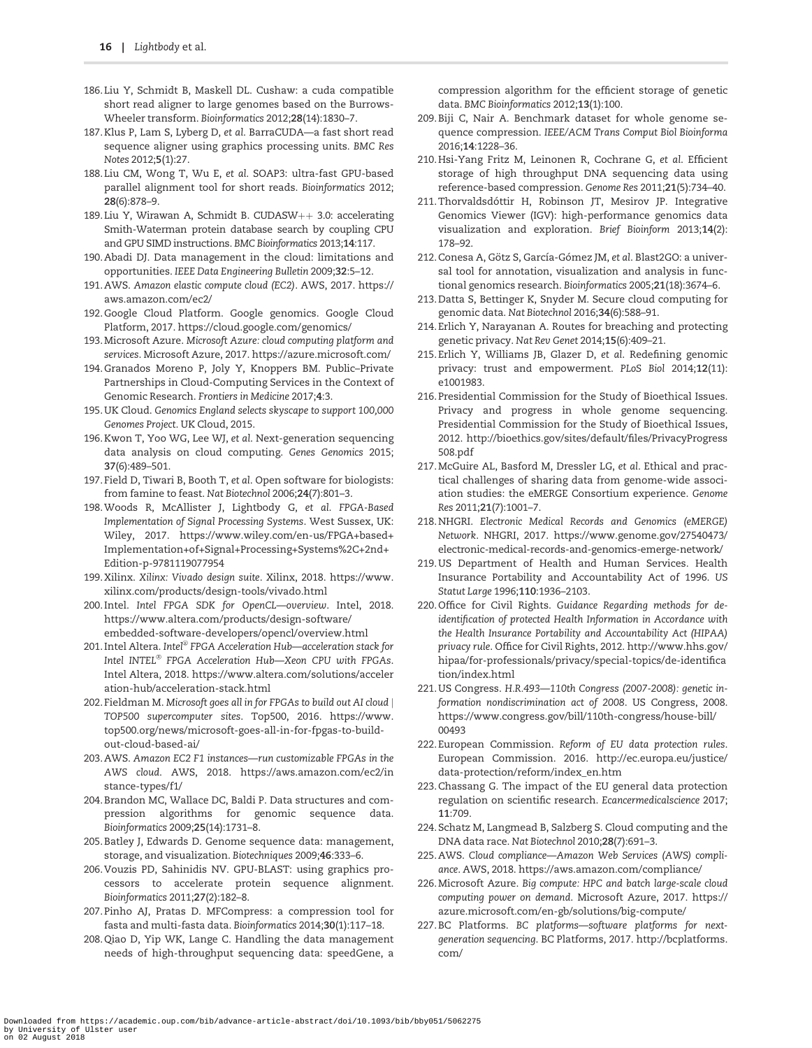- <span id="page-15-0"></span>[186.](#page-6-0) Liu Y, Schmidt B, Maskell DL. Cushaw: a cuda compatible short read aligner to large genomes based on the Burrows-Wheeler transform. Bioinformatics 2012;28(14):1830–7.
- [187.](#page-6-0) Klus P, Lam S, Lyberg D, et al. BarraCUDA—a fast short read sequence aligner using graphics processing units. BMC Res Notes 2012;5(1):27.
- [188.](#page-6-0) Liu CM, Wong T, Wu E, et al. SOAP3: ultra-fast GPU-based parallel alignment tool for short reads. Bioinformatics 2012; 28(6):878–9.
- [189.](#page-6-0) Liu Y, Wirawan A, Schmidt B. CUDAS $W++$  3.0: accelerating Smith-Waterman protein database search by coupling CPU and GPU SIMD instructions. BMC Bioinformatics 2013;14:117.
- [190.](#page-6-0) Abadi DJ. Data management in the cloud: limitations and opportunities. IEEE Data Engineering Bulletin 2009;32:5–12.
- [191.](#page-7-0) AWS. Amazon elastic compute cloud (EC2). AWS, 2017. [https://](https://aws.amazon.com/ec2/) [aws.amazon.com/ec2/](https://aws.amazon.com/ec2/)
- [192.](#page-7-0) Google Cloud Platform. Google genomics. Google Cloud Platform, 2017.<https://cloud.google.com/genomics/>
- [193.](#page-7-0) Microsoft Azure. Microsoft Azure: cloud computing platform and services. Microsoft Azure, 2017.<https://azure.microsoft.com/>
- [194.](#page-7-0) Granados Moreno P, Joly Y, Knoppers BM. Public–Private Partnerships in Cloud-Computing Services in the Context of Genomic Research. Frontiers in Medicine 2017;4:3.
- [195.](#page-7-0) UK Cloud. Genomics England selects skyscape to support 100,000 Genomes Project. UK Cloud, 2015.
- [196.](#page-7-0) Kwon T, Yoo WG, Lee WJ, et al. Next-generation sequencing data analysis on cloud computing. Genes Genomics 2015; 37(6):489–501.
- [197.](#page-7-0) Field D, Tiwari B, Booth T, et al. Open software for biologists: from famine to feast. Nat Biotechnol 2006;24(7):801–3.
- 198. Woods R, McAllister J, Lightbody G, et al. FPGA-Based Implementation of Signal Processing Systems. West Sussex, UK: Wiley, 2017. [https://www.wiley.com/en-us/FPGA+based+](https://www.wiley.com/en-us/FPGA+based+Implementation+of+Signal+Processing+Systems%2C+2nd+Edition-p-9781119077954) [Implementation+of+Signal+Processing+Systems%2C+2nd+](https://www.wiley.com/en-us/FPGA+based+Implementation+of+Signal+Processing+Systems%2C+2nd+Edition-p-9781119077954) [Edition-p-9781119077954](https://www.wiley.com/en-us/FPGA+based+Implementation+of+Signal+Processing+Systems%2C+2nd+Edition-p-9781119077954)
- 199. Xilinx. Xilinx: Vivado design suite. Xilinx, 2018. [https://www.](https://www.xilinx.com/products/design-tools/vivado.html) [xilinx.com/products/design-tools/vivado.html](https://www.xilinx.com/products/design-tools/vivado.html)
- 200. Intel. Intel FPGA SDK for OpenCL—overview. Intel, 2018. [https://www.altera.com/products/design-software/](https://www.altera.com/products/design-software/embedded-software-developers/opencl/overview.html) [embedded-software-developers/opencl/overview.html](https://www.altera.com/products/design-software/embedded-software-developers/opencl/overview.html)
- [201.](#page-7-0) Intel Altera. Intel ${}^{\circledR}$  FPGA Acceleration Hub—acceleration stack for Intel INTEL $^{\circledast}$  FPGA Acceleration Hub—Xeon CPU with FPGAs. Intel Altera, 2018. [https://www.altera.com/solutions/acceler](https://www.altera.com/solutions/acceleration-hub/acceleration-stack.html) [ation-hub/acceleration-stack.html](https://www.altera.com/solutions/acceleration-hub/acceleration-stack.html)
- [202.](#page-7-0) Fieldman M. Microsoft goes all in for FPGAs to build out AI cloud j TOP500 supercomputer sites. Top500, 2016. [https://www.](https://www.top500.org/news/microsoft-goes-all-in-for-fpgas-to-build-out-cloud-based-ai/) [top500.org/news/microsoft-goes-all-in-for-fpgas-to-build](https://www.top500.org/news/microsoft-goes-all-in-for-fpgas-to-build-out-cloud-based-ai/)[out-cloud-based-ai/](https://www.top500.org/news/microsoft-goes-all-in-for-fpgas-to-build-out-cloud-based-ai/)
- [203.](#page-7-0) AWS. Amazon EC2 F1 instances—run customizable FPGAs in the AWS cloud. AWS, 2018. [https://aws.amazon.com/ec2/in](https://aws.amazon.com/ec2/instance-types/f1/) [stance-types/f1/](https://aws.amazon.com/ec2/instance-types/f1/)
- [204.](#page-8-0) Brandon MC, Wallace DC, Baldi P. Data structures and compression algorithms for genomic sequence data. Bioinformatics 2009;25(14):1731–8.
- [205.](#page-8-0) Batley J, Edwards D. Genome sequence data: management, storage, and visualization. Biotechniques 2009;46:333–6.
- [206.](#page-8-0) Vouzis PD, Sahinidis NV. GPU-BLAST: using graphics processors to accelerate protein sequence alignment. Bioinformatics 2011;27(2):182–8.
- 207. Pinho AJ, Pratas D. MFCompress: a compression tool for fasta and multi-fasta data. Bioinformatics 2014;30(1):117–18.
- 208. Qiao D, Yip WK, Lange C. Handling the data management needs of high-throughput sequencing data: speedGene, a

compression algorithm for the efficient storage of genetic data. BMC Bioinformatics 2012;13(1):100.

- 209. Biji C, Nair A. Benchmark dataset for whole genome sequence compression. IEEE/ACM Trans Comput Biol Bioinforma 2016;14:1228–36.
- [210.](#page-8-0) Hsi-Yang Fritz M, Leinonen R, Cochrane G, et al. Efficient storage of high throughput DNA sequencing data using reference-based compression. Genome Res 2011;21(5):734–40.
- [211.](#page-8-0) Thorvaldsdóttir H, Robinson JT, Mesirov JP. Integrative Genomics Viewer (IGV): high-performance genomics data visualization and exploration. Brief Bioinform 2013;14(2): 178–92.
- [212.](#page-8-0) Conesa A, Götz S, García-Gómez JM, et al. Blast2GO: a universal tool for annotation, visualization and analysis in functional genomics research. Bioinformatics 2005;21(18):3674–6.
- [213.](#page-8-0) Datta S, Bettinger K, Snyder M. Secure cloud computing for genomic data. Nat Biotechnol 2016;34(6):588–91.
- [214.](#page-8-0) Erlich Y, Narayanan A. Routes for breaching and protecting genetic privacy. Nat Rev Genet 2014;15(6):409–21.
- [215.](#page-8-0) Erlich Y, Williams JB, Glazer D, et al. Redefining genomic privacy: trust and empowerment. PLoS Biol 2014;12(11): e1001983.
- [216.](#page-8-0) Presidential Commission for the Study of Bioethical Issues. Privacy and progress in whole genome sequencing. Presidential Commission for the Study of Bioethical Issues, 2012. [http://bioethics.gov/sites/default/files/PrivacyProgress](http://bioethics.gov/sites/default/files/PrivacyProgress508.pdf) [508.pdf](http://bioethics.gov/sites/default/files/PrivacyProgress508.pdf)
- [217.](#page-8-0) McGuire AL, Basford M, Dressler LG, et al. Ethical and practical challenges of sharing data from genome-wide association studies: the eMERGE Consortium experience. Genome Res 2011;21(7):1001–7.
- [218.](#page-8-0) NHGRI. Electronic Medical Records and Genomics (eMERGE) Network. NHGRI, 2017. [https://www.genome.gov/27540473/](https://www.genome.gov/27540473/electronic-medical-records-and-genomics-emerge-network/) [electronic-medical-records-and-genomics-emerge-network/](https://www.genome.gov/27540473/electronic-medical-records-and-genomics-emerge-network/)
- [219.](#page-8-0) US Department of Health and Human Services. Health Insurance Portability and Accountability Act of 1996. US Statut Large 1996;110:1936–2103.
- [220.](#page-8-0) Office for Civil Rights. Guidance Regarding methods for deidentification of protected Health Information in Accordance with the Health Insurance Portability and Accountability Act (HIPAA) privacy rule. Office for Civil Rights, 2012. [http://www.hhs.gov/](http://www.hhs.gov/hipaa/for-professionals/privacy/special-topics/de-identification/index.html) [hipaa/for-professionals/privacy/special-topics/de-identifica](http://www.hhs.gov/hipaa/for-professionals/privacy/special-topics/de-identification/index.html) [tion/index.html](http://www.hhs.gov/hipaa/for-professionals/privacy/special-topics/de-identification/index.html)
- [221.](#page-8-0) US Congress. H.R.493—110th Congress (2007-2008): genetic information nondiscrimination act of 2008. US Congress, 2008. [https://www.congress.gov/bill/110th-congress/house-bill/](https://www.congress.gov/bill/110th-congress/house-bill/00493) [00493](https://www.congress.gov/bill/110th-congress/house-bill/00493)
- [222.](#page-8-0) European Commission. Reform of EU data protection rules. European Commission. 2016. [http://ec.europa.eu/justice/](http://ec.europa.eu/justice/data-protection/reform/index_en.htm) [data-protection/reform/index\\_en.htm](http://ec.europa.eu/justice/data-protection/reform/index_en.htm)
- [223.](#page-8-0) Chassang G. The impact of the EU general data protection regulation on scientific research. Ecancermedicalscience 2017; 11:709.
- [224.](#page-8-0) Schatz M, Langmead B, Salzberg S. Cloud computing and the DNA data race. Nat Biotechnol 2010;28(7):691–3.
- [225.](#page-8-0) AWS. Cloud compliance—Amazon Web Services (AWS) compliance. AWS, 2018.<https://aws.amazon.com/compliance/>
- [226.](#page-8-0) Microsoft Azure. Big compute: HPC and batch large-scale cloud computing power on demand. Microsoft Azure, 2017. [https://](https://azure.microsoft.com/en-gb/solutions/big-compute/) [azure.microsoft.com/en-gb/solutions/big-compute/](https://azure.microsoft.com/en-gb/solutions/big-compute/)
- [227.](#page-8-0) BC Platforms. BC platforms—software platforms for nextgeneration sequencing. BC Platforms, 2017. [http://bcplatforms.](http://bcplatforms.com/) [com/](http://bcplatforms.com/)